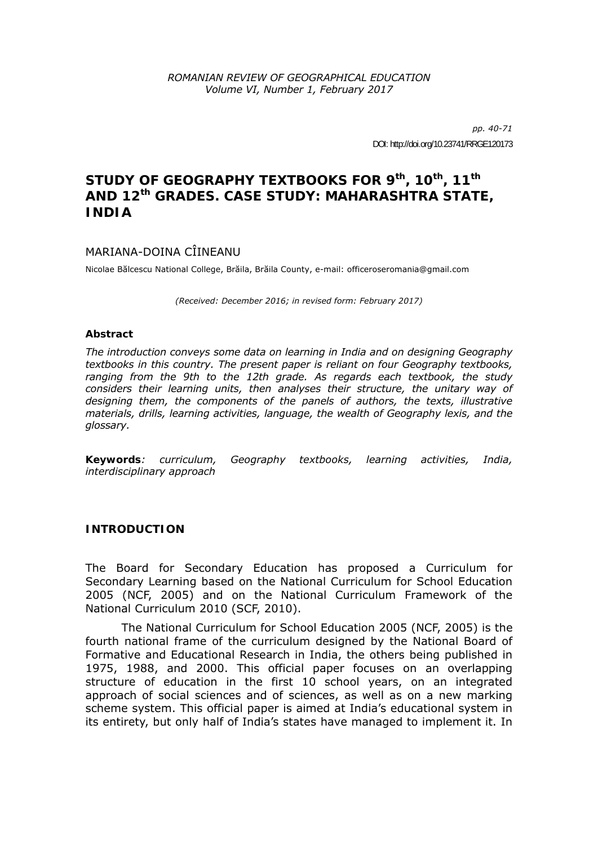*pp. 40-71*  DOI: http://doi.org/10.23741/RRGE120173

## STUDY OF GEOGRAPHY TEXTBOOKS FOR 9th, 10<sup>th</sup>, 11<sup>th</sup> **AND 12th GRADES. CASE STUDY: MAHARASHTRA STATE, INDIA**

### MARIANA-DOINA CÎINEANU

Nicolae Bălcescu National College, Brăila, Brăila County, e-mail: officeroseromania@gmail.com

*(Received: December 2016; in revised form: February 2017)* 

#### *Abstract*

*The introduction conveys some data on learning in India and on designing Geography textbooks in this country. The present paper is reliant on four Geography textbooks, ranging from the 9th to the 12th grade. As regards each textbook, the study considers their learning units, then analyses their structure, the unitary way of designing them, the components of the panels of authors, the texts, illustrative materials, drills, learning activities, language, the wealth of Geography lexis, and the glossary.* 

*Keywords: curriculum, Geography textbooks, learning activities, India, interdisciplinary approach* 

#### **INTRODUCTION**

The Board for Secondary Education has proposed a Curriculum for Secondary Learning based on the National Curriculum for School Education 2005 (NCF, 2005) and on the National Curriculum Framework of the National Curriculum 2010 (SCF, 2010).

The National Curriculum for School Education 2005 (NCF, 2005) is the fourth national frame of the curriculum designed by the National Board of Formative and Educational Research in India, the others being published in 1975, 1988, and 2000. This official paper focuses on an overlapping structure of education in the first 10 school years, on an integrated approach of social sciences and of sciences, as well as on a new marking scheme system. This official paper is aimed at India's educational system in its entirety, but only half of India's states have managed to implement it. In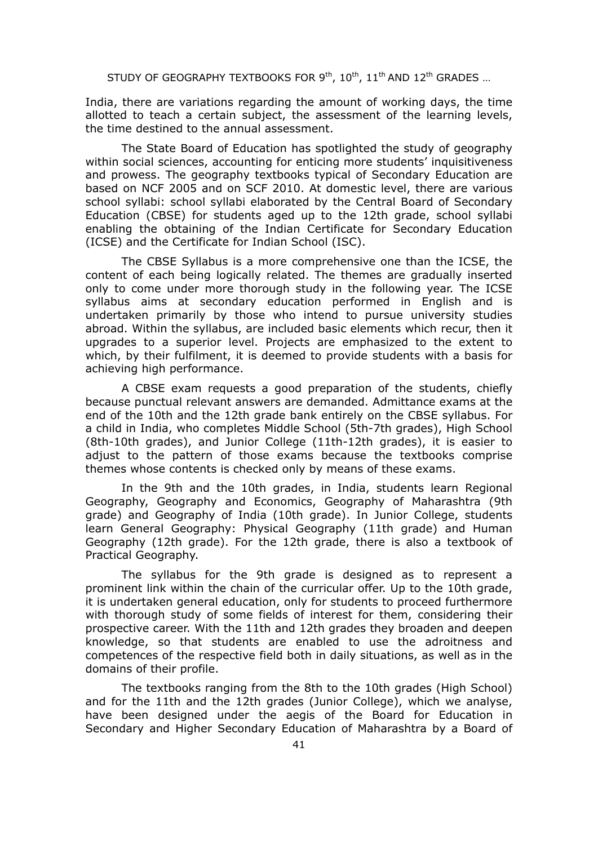India, there are variations regarding the amount of working days, the time allotted to teach a certain subject, the assessment of the learning levels, the time destined to the annual assessment.

The State Board of Education has spotlighted the study of geography within social sciences, accounting for enticing more students' inquisitiveness and prowess. The geography textbooks typical of Secondary Education are based on NCF 2005 and on SCF 2010. At domestic level, there are various school syllabi: school syllabi elaborated by the Central Board of Secondary Education (CBSE) for students aged up to the 12th grade, school syllabi enabling the obtaining of the Indian Certificate for Secondary Education (ICSE) and the Certificate for Indian School (ISC).

The CBSE Syllabus is a more comprehensive one than the ICSE, the content of each being logically related. The themes are gradually inserted only to come under more thorough study in the following year. The ICSE syllabus aims at secondary education performed in English and is undertaken primarily by those who intend to pursue university studies abroad. Within the syllabus, are included basic elements which recur, then it upgrades to a superior level. Projects are emphasized to the extent to which, by their fulfilment, it is deemed to provide students with a basis for achieving high performance.

A CBSE exam requests a good preparation of the students, chiefly because punctual relevant answers are demanded. Admittance exams at the end of the 10th and the 12th grade bank entirely on the CBSE syllabus. For a child in India, who completes Middle School (5th-7th grades), High School (8th-10th grades), and Junior College (11th-12th grades), it is easier to adjust to the pattern of those exams because the textbooks comprise themes whose contents is checked only by means of these exams.

In the 9th and the 10th grades, in India, students learn Regional Geography, Geography and Economics, Geography of Maharashtra (9th grade) and Geography of India (10th grade). In Junior College, students learn General Geography: Physical Geography (11th grade) and Human Geography (12th grade). For the 12th grade, there is also a textbook of Practical Geography.

The syllabus for the 9th grade is designed as to represent a prominent link within the chain of the curricular offer. Up to the 10th grade, it is undertaken general education, only for students to proceed furthermore with thorough study of some fields of interest for them, considering their prospective career. With the 11th and 12th grades they broaden and deepen knowledge, so that students are enabled to use the adroitness and competences of the respective field both in daily situations, as well as in the domains of their profile.

The textbooks ranging from the 8th to the 10th grades (High School) and for the 11th and the 12th grades (Junior College), which we analyse, have been designed under the aegis of the Board for Education in Secondary and Higher Secondary Education of Maharashtra by a Board of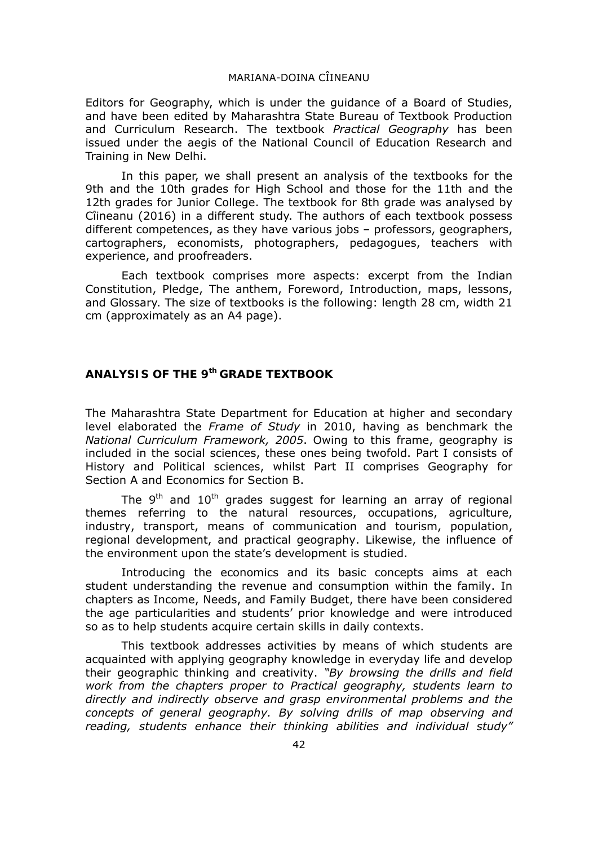Editors for Geography, which is under the guidance of a Board of Studies, and have been edited by Maharashtra State Bureau of Textbook Production and Curriculum Research. The textbook *Practical Geography* has been issued under the aegis of the National Council of Education Research and Training in New Delhi.

In this paper, we shall present an analysis of the textbooks for the 9th and the 10th grades for High School and those for the 11th and the 12th grades for Junior College. The textbook for 8th grade was analysed by Cîineanu (2016) in a different study. The authors of each textbook possess different competences, as they have various jobs – professors, geographers, cartographers, economists, photographers, pedagogues, teachers with experience, and proofreaders.

Each textbook comprises more aspects: excerpt from the Indian Constitution, Pledge, The anthem, Foreword, Introduction, maps, lessons, and Glossary. The size of textbooks is the following: length 28 cm, width 21 cm (approximately as an A4 page).

## **ANALYSIS OF THE 9th GRADE TEXTBOOK**

The Maharashtra State Department for Education at higher and secondary level elaborated the *Frame of Study* in 2010, having as benchmark the *National Curriculum Framework, 2005*. Owing to this frame, geography is included in the social sciences, these ones being twofold. Part I consists of History and Political sciences, whilst Part II comprises Geography for Section A and Economics for Section B.

The  $9<sup>th</sup>$  and  $10<sup>th</sup>$  grades suggest for learning an array of regional themes referring to the natural resources, occupations, agriculture, industry, transport, means of communication and tourism, population, regional development, and practical geography. Likewise, the influence of the environment upon the state's development is studied.

Introducing the economics and its basic concepts aims at each student understanding the revenue and consumption within the family. In chapters as Income, Needs, and Family Budget, there have been considered the age particularities and students' prior knowledge and were introduced so as to help students acquire certain skills in daily contexts.

This textbook addresses activities by means of which students are acquainted with applying geography knowledge in everyday life and develop their geographic thinking and creativity. *"By browsing the drills and field work from the chapters proper to Practical geography, students learn to directly and indirectly observe and grasp environmental problems and the concepts of general geography. By solving drills of map observing and reading, students enhance their thinking abilities and individual study"*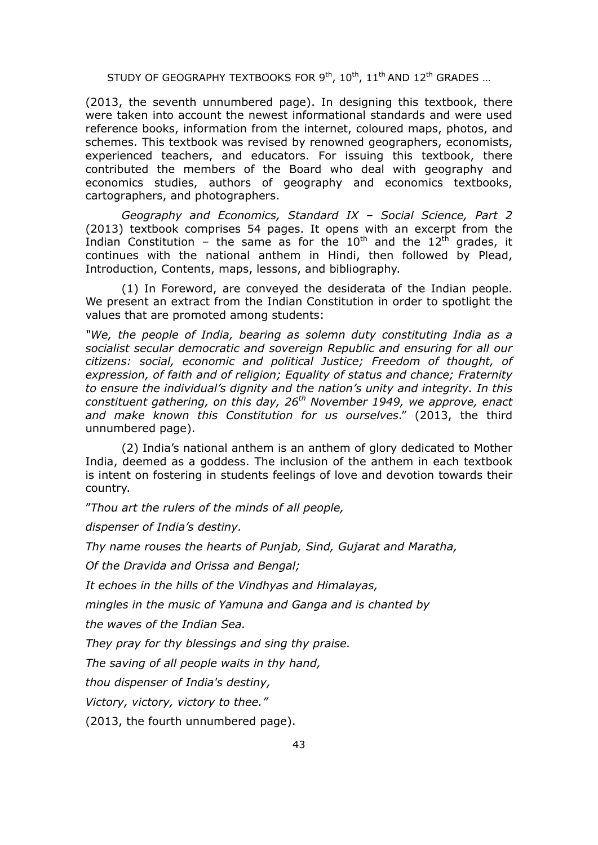(2013, the seventh unnumbered page). In designing this textbook, there were taken into account the newest informational standards and were used reference books, information from the internet, coloured maps, photos, and schemes. This textbook was revised by renowned geographers, economists, experienced teachers, and educators. For issuing this textbook, there contributed the members of the Board who deal with geography and economics studies, authors of geography and economics textbooks, cartographers, and photographers.

*Geography and Economics, Standard IX – Social Science, Part 2*  (2013) textbook comprises 54 pages. It opens with an excerpt from the Indian Constitution – the same as for the  $10<sup>th</sup>$  and the  $12<sup>th</sup>$  grades, it continues with the national anthem in Hindi, then followed by Plead, Introduction, Contents, maps, lessons, and bibliography.

(1) In Foreword, are conveyed the desiderata of the Indian people. We present an extract from the Indian Constitution in order to spotlight the values that are promoted among students:

*"We, the people of India, bearing as solemn duty constituting India as a socialist secular democratic and sovereign Republic and ensuring for all our citizens: social, economic and political Justice; Freedom of thought, of expression, of faith and of religion; Equality of status and chance; Fraternity to ensure the individual's dignity and the nation's unity and integrity. In this constituent gathering, on this day, 26th November 1949, we approve, enact and make known this Constitution for us ourselves*." (2013, the third unnumbered page).

(2) India's national anthem is an anthem of glory dedicated to Mother India, deemed as a goddess. The inclusion of the anthem in each textbook is intent on fostering in students feelings of love and devotion towards their country.

"*Thou art the rulers of the minds of all people,* 

*dispenser of India's destiny.* 

*Thy name rouses the hearts of Punjab, Sind, Gujarat and Maratha,* 

*Of the Dravida and Orissa and Bengal;* 

*It echoes in the hills of the Vindhyas and Himalayas,* 

*mingles in the music of Yamuna and Ganga and is chanted by* 

*the waves of the Indian Sea.* 

*They pray for thy blessings and sing thy praise.* 

*The saving of all people waits in thy hand,* 

*thou dispenser of India's destiny,* 

*Victory, victory, victory to thee."* 

(2013, the fourth unnumbered page).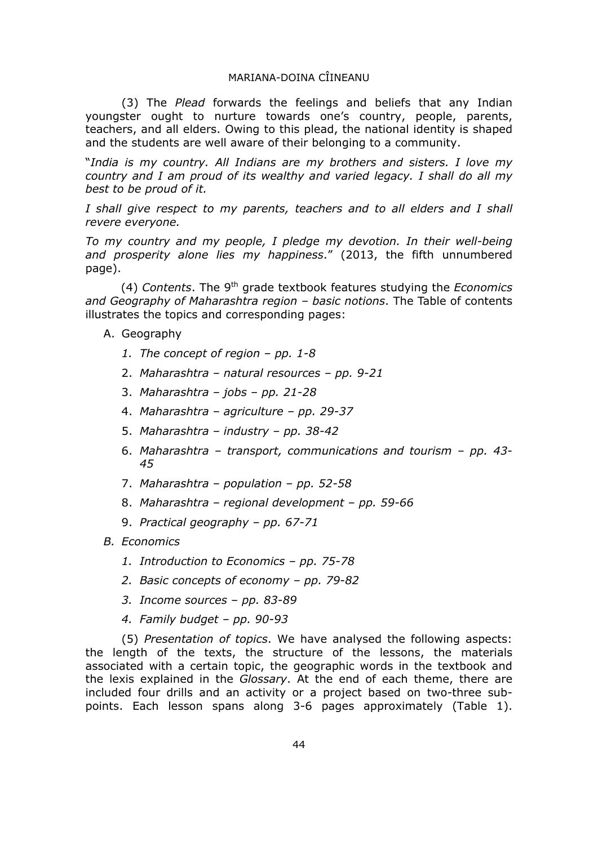(3) The *Plead* forwards the feelings and beliefs that any Indian youngster ought to nurture towards one's country, people, parents, teachers, and all elders. Owing to this plead, the national identity is shaped and the students are well aware of their belonging to a community.

"*India is my country. All Indians are my brothers and sisters. I love my country and I am proud of its wealthy and varied legacy. I shall do all my best to be proud of it.* 

*I shall give respect to my parents, teachers and to all elders and I shall revere everyone.* 

*To my country and my people, I pledge my devotion. In their well-being and prosperity alone lies my happiness*." (2013, the fifth unnumbered page).

(4) *Contents*. The 9th grade textbook features studying the *Economics and Geography of Maharashtra region – basic notions*. The Table of contents illustrates the topics and corresponding pages:

- A. Geography
	- *1. The concept of region pp. 1-8*
	- 2. *Maharashtra natural resources pp. 9-21*
	- 3. *Maharashtra jobs pp. 21-28*
	- 4. *Maharashtra agriculture pp. 29-37*
	- 5. *Maharashtra industry pp. 38-42*
	- 6. *Maharashtra transport, communications and tourism pp. 43- 45*
	- 7. *Maharashtra population pp. 52-58*
	- 8. *Maharashtra regional development pp. 59-66*
	- 9. *Practical geography pp. 67-71*
- *B. Economics* 
	- *1. Introduction to Economics pp. 75-78*
	- *2. Basic concepts of economy pp. 79-82*
	- *3. Income sources pp. 83-89*
	- *4. Family budget pp. 90-93*

(5) *Presentation of topics*. We have analysed the following aspects: the length of the texts, the structure of the lessons, the materials associated with a certain topic, the geographic words in the textbook and the lexis explained in the *Glossary*. At the end of each theme, there are included four drills and an activity or a project based on two-three subpoints. Each lesson spans along 3-6 pages approximately (Table 1).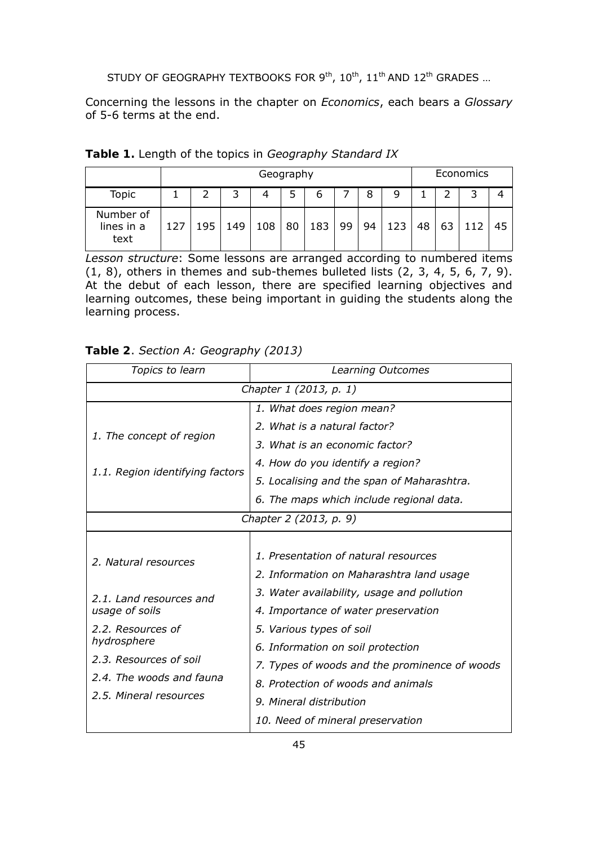Concerning the lessons in the chapter on *Economics*, each bears a *Glossary* of 5-6 terms at the end.

|                                 |     |     |     |     | Geography |     |    |    |     |    |    | Economics |    |
|---------------------------------|-----|-----|-----|-----|-----------|-----|----|----|-----|----|----|-----------|----|
| Topic                           |     |     | 3   |     | 5         | O   |    | 8  | 9   |    |    | ર         |    |
| Number of<br>lines in a<br>text | 127 | 195 | 149 | 108 | 80        | 183 | 99 | 94 | 123 | 48 | 63 | 112       | 45 |

|  |  |  |  |  | Table 1. Length of the topics in Geography Standard IX |  |
|--|--|--|--|--|--------------------------------------------------------|--|
|--|--|--|--|--|--------------------------------------------------------|--|

*Lesson structure*: Some lessons are arranged according to numbered items  $(1, 8)$ , others in themes and sub-themes bulleted lists  $(2, 3, 4, 5, 6, 7, 9)$ . At the debut of each lesson, there are specified learning objectives and learning outcomes, these being important in guiding the students along the learning process.

| Table 2. Section A: Geography (2013) |  |  |
|--------------------------------------|--|--|
|--------------------------------------|--|--|

| Topics to learn                                                                                                                                                                       | Learning Outcomes                                                                                                                                                                                                                                                                                                                                        |  |
|---------------------------------------------------------------------------------------------------------------------------------------------------------------------------------------|----------------------------------------------------------------------------------------------------------------------------------------------------------------------------------------------------------------------------------------------------------------------------------------------------------------------------------------------------------|--|
| Chapter 1 (2013, p. 1)                                                                                                                                                                |                                                                                                                                                                                                                                                                                                                                                          |  |
|                                                                                                                                                                                       | 1. What does region mean?                                                                                                                                                                                                                                                                                                                                |  |
| 1. The concept of region                                                                                                                                                              | 2. What is a natural factor?                                                                                                                                                                                                                                                                                                                             |  |
|                                                                                                                                                                                       | 3. What is an economic factor?                                                                                                                                                                                                                                                                                                                           |  |
| 1.1. Region identifying factors                                                                                                                                                       | 4. How do you identify a region?                                                                                                                                                                                                                                                                                                                         |  |
|                                                                                                                                                                                       | 5. Localising and the span of Maharashtra.                                                                                                                                                                                                                                                                                                               |  |
|                                                                                                                                                                                       | 6. The maps which include regional data.                                                                                                                                                                                                                                                                                                                 |  |
|                                                                                                                                                                                       | Chapter 2 (2013, p. 9)                                                                                                                                                                                                                                                                                                                                   |  |
| 2. Natural resources<br>2.1. Land resources and<br>usage of soils<br>2.2. Resources of<br>hydrosphere<br>2.3. Resources of soil<br>2.4. The woods and fauna<br>2.5. Mineral resources | 1. Presentation of natural resources<br>2. Information on Maharashtra land usage<br>3. Water availability, usage and pollution<br>4. Importance of water preservation<br>5. Various types of soil<br>6. Information on soil protection<br>7. Types of woods and the prominence of woods<br>8. Protection of woods and animals<br>9. Mineral distribution |  |
|                                                                                                                                                                                       | 10. Need of mineral preservation                                                                                                                                                                                                                                                                                                                         |  |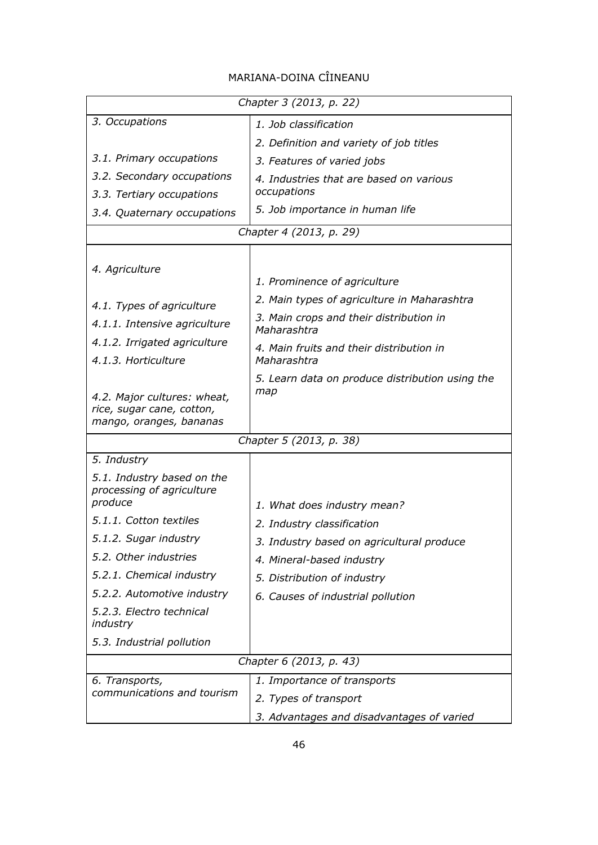|                                                                                     | Chapter 3 (2013, p. 22)                                                                                                |  |  |
|-------------------------------------------------------------------------------------|------------------------------------------------------------------------------------------------------------------------|--|--|
| 3. Occupations                                                                      | 1. Job classification                                                                                                  |  |  |
|                                                                                     | 2. Definition and variety of job titles                                                                                |  |  |
| 3.1. Primary occupations                                                            | 3. Features of varied jobs                                                                                             |  |  |
| 3.2. Secondary occupations                                                          | 4. Industries that are based on various                                                                                |  |  |
| 3.3. Tertiary occupations                                                           | occupations                                                                                                            |  |  |
| 3.4. Quaternary occupations                                                         | 5. Job importance in human life                                                                                        |  |  |
|                                                                                     | Chapter 4 (2013, p. 29)                                                                                                |  |  |
| 4. Agriculture<br>4.1. Types of agriculture                                         | 1. Prominence of agriculture<br>2. Main types of agriculture in Maharashtra<br>3. Main crops and their distribution in |  |  |
| 4.1.1. Intensive agriculture                                                        | Maharashtra                                                                                                            |  |  |
| 4.1.2. Irrigated agriculture<br>4.1.3. Horticulture                                 | 4. Main fruits and their distribution in<br>Maharashtra                                                                |  |  |
| 4.2. Major cultures: wheat,<br>rice, sugar cane, cotton,<br>mango, oranges, bananas | 5. Learn data on produce distribution using the<br>map                                                                 |  |  |
| Chapter 5 (2013, p. 38)                                                             |                                                                                                                        |  |  |
| 5. Industry                                                                         |                                                                                                                        |  |  |
| 5.1. Industry based on the<br>processing of agriculture<br>produce                  | 1. What does industry mean?                                                                                            |  |  |
| 5.1.1. Cotton textiles                                                              | 2. Industry classification                                                                                             |  |  |
| 5.1.2. Sugar industry                                                               | 3. Industry based on agricultural produce                                                                              |  |  |
| 5.2. Other industries                                                               | 4. Mineral-based industry                                                                                              |  |  |
| 5.2.1. Chemical industry                                                            | 5. Distribution of industry                                                                                            |  |  |
| 5.2.2. Automotive industry                                                          | 6. Causes of industrial pollution                                                                                      |  |  |
| 5.2.3. Electro technical<br>industry                                                |                                                                                                                        |  |  |
| 5.3. Industrial pollution                                                           |                                                                                                                        |  |  |
|                                                                                     | Chapter 6 (2013, p. 43)                                                                                                |  |  |
| 6. Transports,                                                                      | 1. Importance of transports                                                                                            |  |  |
| communications and tourism                                                          | 2. Types of transport                                                                                                  |  |  |
|                                                                                     | 3. Advantages and disadvantages of varied                                                                              |  |  |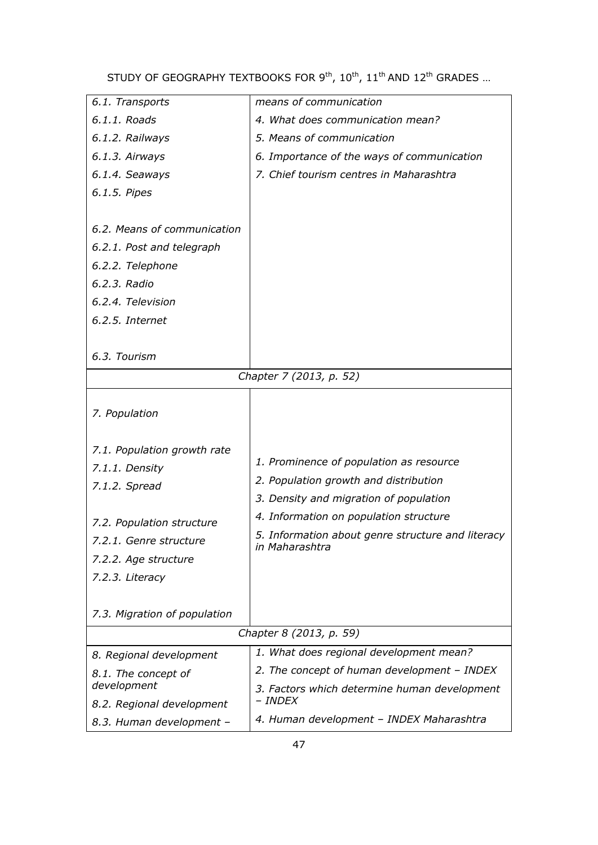| 6.1. Transports              | means of communication                                              |
|------------------------------|---------------------------------------------------------------------|
| 6.1.1. Roads                 | 4. What does communication mean?                                    |
| 6.1.2. Railways              | 5. Means of communication                                           |
| 6.1.3. Airways               | 6. Importance of the ways of communication                          |
| 6.1.4. Seaways               | 7. Chief tourism centres in Maharashtra                             |
| 6.1.5. Pipes                 |                                                                     |
|                              |                                                                     |
| 6.2. Means of communication  |                                                                     |
| 6.2.1. Post and telegraph    |                                                                     |
| 6.2.2. Telephone             |                                                                     |
| 6.2.3. Radio                 |                                                                     |
| 6.2.4. Television            |                                                                     |
| 6.2.5. Internet              |                                                                     |
|                              |                                                                     |
| 6.3. Tourism                 |                                                                     |
|                              | Chapter 7 (2013, p. 52)                                             |
|                              |                                                                     |
| 7. Population                |                                                                     |
|                              |                                                                     |
| 7.1. Population growth rate  |                                                                     |
| 7.1.1. Density               | 1. Prominence of population as resource                             |
| 7.1.2. Spread                | 2. Population growth and distribution                               |
|                              | 3. Density and migration of population                              |
| 7.2. Population structure    | 4. Information on population structure                              |
| 7.2.1. Genre structure       | 5. Information about genre structure and literacy<br>in Maharashtra |
| 7.2.2. Age structure         |                                                                     |
| 7.2.3. Literacy              |                                                                     |
|                              |                                                                     |
| 7.3. Migration of population |                                                                     |
|                              | Chapter 8 (2013, p. 59)                                             |
| 8. Regional development      | 1. What does regional development mean?                             |
| 8.1. The concept of          | 2. The concept of human development - INDEX                         |
| development                  | 3. Factors which determine human development                        |
| 8.2. Regional development    | - INDEX                                                             |
| 8.3. Human development -     | 4. Human development - INDEX Maharashtra                            |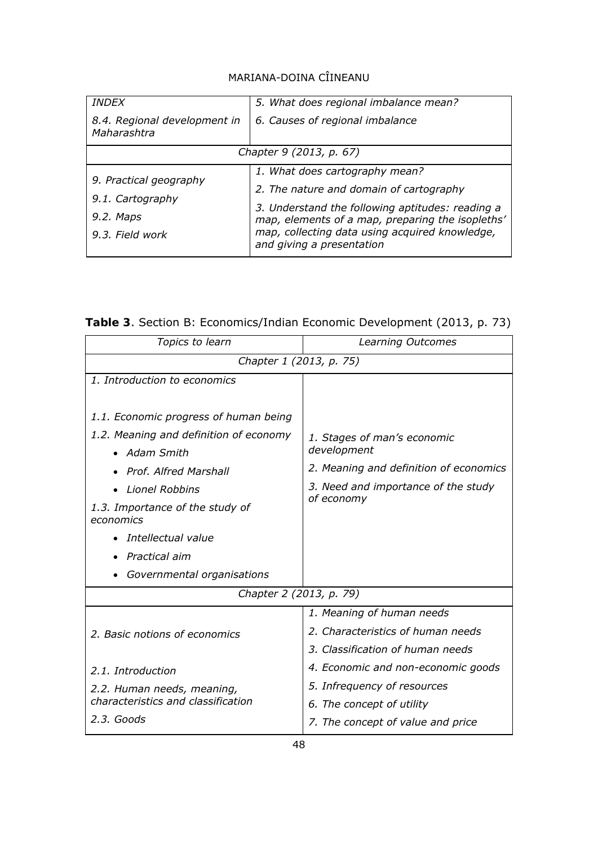| <b>INDEX</b>                                | 5. What does regional imbalance mean?                                       |  |  |
|---------------------------------------------|-----------------------------------------------------------------------------|--|--|
| 8.4. Regional development in<br>Maharashtra | 6. Causes of regional imbalance                                             |  |  |
|                                             | Chapter 9 (2013, p. 67)                                                     |  |  |
| 9. Practical geography                      | 1. What does cartography mean?                                              |  |  |
|                                             | 2. The nature and domain of cartography                                     |  |  |
| 9.1. Cartography<br>9.2. Maps               | 3. Understand the following aptitudes: reading a                            |  |  |
|                                             | map, elements of a map, preparing the isopleths'                            |  |  |
| 9.3. Field work                             | map, collecting data using acquired knowledge,<br>and giving a presentation |  |  |

|  |  | Table 3. Section B: Economics/Indian Economic Development (2013, p. 73) |  |  |  |
|--|--|-------------------------------------------------------------------------|--|--|--|
|--|--|-------------------------------------------------------------------------|--|--|--|

| Topics to learn                              | Learning Outcomes                      |  |  |
|----------------------------------------------|----------------------------------------|--|--|
| Chapter 1 (2013, p. 75)                      |                                        |  |  |
| 1. Introduction to economics                 |                                        |  |  |
|                                              |                                        |  |  |
| 1.1. Economic progress of human being        |                                        |  |  |
| 1.2. Meaning and definition of economy       | 1. Stages of man's economic            |  |  |
| • Adam Smith                                 | development                            |  |  |
| • Prof. Alfred Marshall                      | 2. Meaning and definition of economics |  |  |
| <b>Lionel Robbins</b>                        | 3. Need and importance of the study    |  |  |
| 1.3. Importance of the study of<br>economics | of economy                             |  |  |
| Intellectual value                           |                                        |  |  |
| Practical aim                                |                                        |  |  |
| Governmental organisations                   |                                        |  |  |
| Chapter 2 (2013, p. 79)                      |                                        |  |  |
|                                              | 1. Meaning of human needs              |  |  |
| 2. Basic notions of economics                | 2. Characteristics of human needs      |  |  |
|                                              | 3. Classification of human needs       |  |  |
| 2.1. Introduction                            | 4. Economic and non-economic goods     |  |  |
| 2.2. Human needs, meaning,                   | 5. Infrequency of resources            |  |  |
| characteristics and classification           | 6. The concept of utility              |  |  |
| 2.3. Goods                                   | 7. The concept of value and price      |  |  |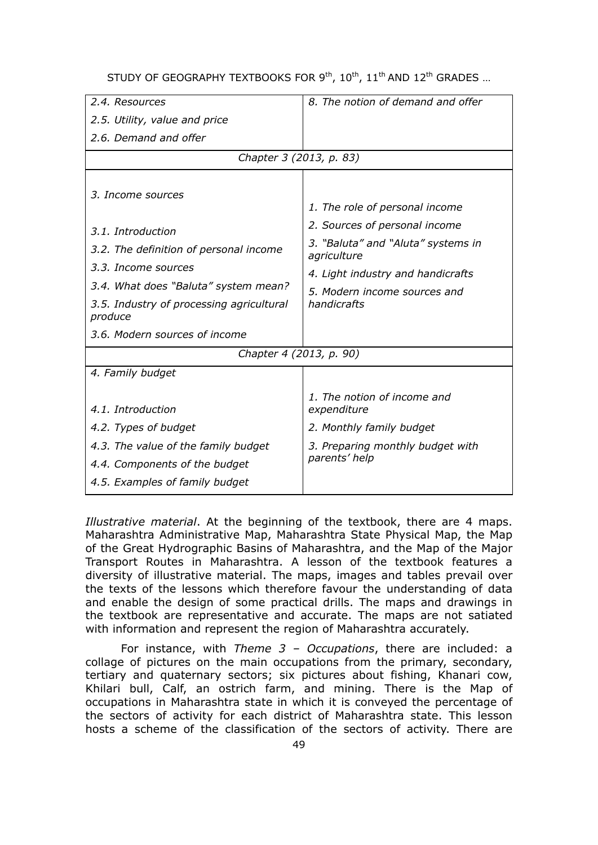| 2.4. Resources                                      | 8. The notion of demand and offer                 |
|-----------------------------------------------------|---------------------------------------------------|
| 2.5. Utility, value and price                       |                                                   |
| 2.6. Demand and offer                               |                                                   |
| Chapter 3 (2013, p. 83)                             |                                                   |
| 3. Income sources                                   | 1. The role of personal income                    |
| 3.1. Introduction                                   | 2. Sources of personal income                     |
| 3.2. The definition of personal income              | 3. "Baluta" and "Aluta" systems in<br>agriculture |
| 3.3. Income sources                                 | 4. Light industry and handicrafts                 |
| 3.4. What does "Baluta" system mean?                | 5. Modern income sources and                      |
| 3.5. Industry of processing agricultural<br>produce | handicrafts                                       |
| 3.6. Modern sources of income                       |                                                   |
| Chapter 4 (2013, p. 90)                             |                                                   |
| 4. Family budget                                    |                                                   |
| 4.1. Introduction                                   | 1. The notion of income and<br>expenditure        |
| 4.2. Types of budget                                | 2. Monthly family budget                          |
| 4.3. The value of the family budget                 | 3. Preparing monthly budget with                  |
| 4.4. Components of the budget                       | parents' help                                     |
| 4.5. Examples of family budget                      |                                                   |

*Illustrative material*. At the beginning of the textbook, there are 4 maps. Maharashtra Administrative Map, Maharashtra State Physical Map, the Map of the Great Hydrographic Basins of Maharashtra, and the Map of the Major Transport Routes in Maharashtra. A lesson of the textbook features a diversity of illustrative material. The maps, images and tables prevail over the texts of the lessons which therefore favour the understanding of data and enable the design of some practical drills. The maps and drawings in the textbook are representative and accurate. The maps are not satiated with information and represent the region of Maharashtra accurately.

For instance, with *Theme 3 – Occupations*, there are included: a collage of pictures on the main occupations from the primary, secondary, tertiary and quaternary sectors; six pictures about fishing, Khanari cow, Khilari bull, Calf, an ostrich farm, and mining. There is the Map of occupations in Maharashtra state in which it is conveyed the percentage of the sectors of activity for each district of Maharashtra state. This lesson hosts a scheme of the classification of the sectors of activity. There are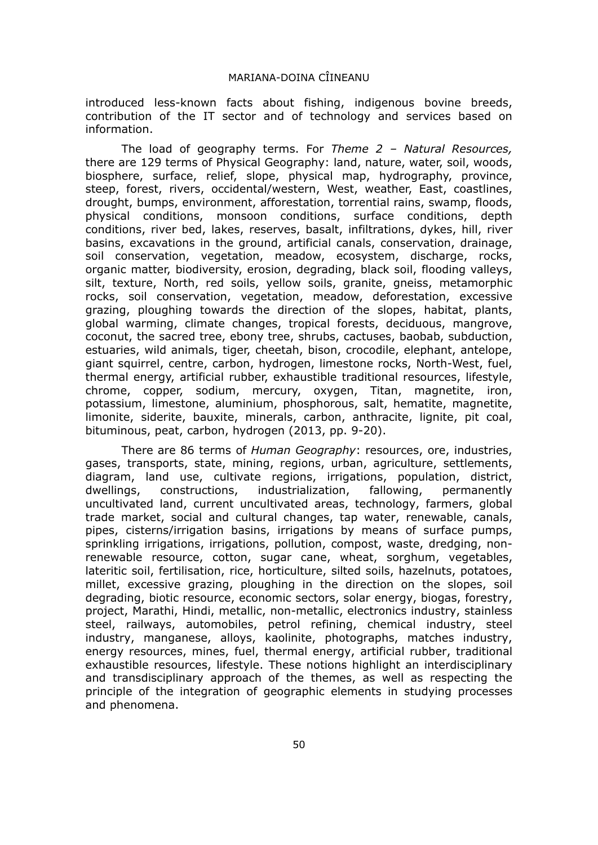introduced less-known facts about fishing, indigenous bovine breeds, contribution of the IT sector and of technology and services based on information.

The load of geography terms. For *Theme 2 – Natural Resources,* there are 129 terms of Physical Geography: land, nature, water, soil, woods, biosphere, surface, relief, slope, physical map, hydrography, province, steep, forest, rivers, occidental/western, West, weather, East, coastlines, drought, bumps, environment, afforestation, torrential rains, swamp, floods, physical conditions, monsoon conditions, surface conditions, depth conditions, river bed, lakes, reserves, basalt, infiltrations, dykes, hill, river basins, excavations in the ground, artificial canals, conservation, drainage, soil conservation, vegetation, meadow, ecosystem, discharge, rocks, organic matter, biodiversity, erosion, degrading, black soil, flooding valleys, silt, texture, North, red soils, yellow soils, granite, gneiss, metamorphic rocks, soil conservation, vegetation, meadow, deforestation, excessive grazing, ploughing towards the direction of the slopes, habitat, plants, global warming, climate changes, tropical forests, deciduous, mangrove, coconut, the sacred tree, ebony tree, shrubs, cactuses, baobab, subduction, estuaries, wild animals, tiger, cheetah, bison, crocodile, elephant, antelope, giant squirrel, centre, carbon, hydrogen, limestone rocks, North-West, fuel, thermal energy, artificial rubber, exhaustible traditional resources, lifestyle, chrome, copper, sodium, mercury, oxygen, Titan, magnetite, iron, potassium, limestone, aluminium, phosphorous, salt, hematite, magnetite, limonite, siderite, bauxite, minerals, carbon, anthracite, lignite, pit coal, bituminous, peat, carbon, hydrogen (2013, pp. 9-20).

There are 86 terms of *Human Geography*: resources, ore, industries, gases, transports, state, mining, regions, urban, agriculture, settlements, diagram, land use, cultivate regions, irrigations, population, district, dwellings, constructions, industrialization, fallowing, permanently uncultivated land, current uncultivated areas, technology, farmers, global trade market, social and cultural changes, tap water, renewable, canals, pipes, cisterns/irrigation basins, irrigations by means of surface pumps, sprinkling irrigations, irrigations, pollution, compost, waste, dredging, nonrenewable resource, cotton, sugar cane, wheat, sorghum, vegetables, lateritic soil, fertilisation, rice, horticulture, silted soils, hazelnuts, potatoes, millet, excessive grazing, ploughing in the direction on the slopes, soil degrading, biotic resource, economic sectors, solar energy, biogas, forestry, project, Marathi, Hindi, metallic, non-metallic, electronics industry, stainless steel, railways, automobiles, petrol refining, chemical industry, steel industry, manganese, alloys, kaolinite, photographs, matches industry, energy resources, mines, fuel, thermal energy, artificial rubber, traditional exhaustible resources, lifestyle. These notions highlight an interdisciplinary and transdisciplinary approach of the themes, as well as respecting the principle of the integration of geographic elements in studying processes and phenomena.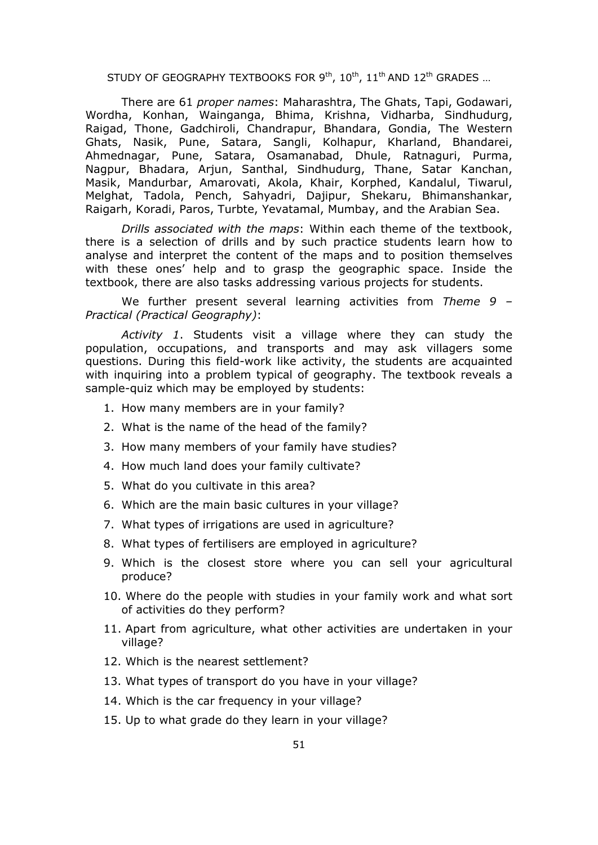There are 61 *proper names*: Maharashtra, The Ghats, Tapi, Godawari, Wordha, Konhan, Wainganga, Bhima, Krishna, Vidharba, Sindhudurg, Raigad, Thone, Gadchiroli, Chandrapur, Bhandara, Gondia, The Western Ghats, Nasik, Pune, Satara, Sangli, Kolhapur, Kharland, Bhandarei, Ahmednagar, Pune, Satara, Osamanabad, Dhule, Ratnaguri, Purma, Nagpur, Bhadara, Arjun, Santhal, Sindhudurg, Thane, Satar Kanchan, Masik, Mandurbar, Amarovati, Akola, Khair, Korphed, Kandalul, Tiwarul, Melghat, Tadola, Pench, Sahyadri, Dajipur, Shekaru, Bhimanshankar, Raigarh, Koradi, Paros, Turbte, Yevatamal, Mumbay, and the Arabian Sea.

*Drills associated with the maps*: Within each theme of the textbook, there is a selection of drills and by such practice students learn how to analyse and interpret the content of the maps and to position themselves with these ones' help and to grasp the geographic space. Inside the textbook, there are also tasks addressing various projects for students.

We further present several learning activities from *Theme 9 – Practical (Practical Geography)*:

*Activity 1*. Students visit a village where they can study the population, occupations, and transports and may ask villagers some questions. During this field-work like activity, the students are acquainted with inquiring into a problem typical of geography. The textbook reveals a sample-quiz which may be employed by students:

- 1. How many members are in your family?
- 2. What is the name of the head of the family?
- 3. How many members of your family have studies?
- 4. How much land does your family cultivate?
- 5. What do you cultivate in this area?
- 6. Which are the main basic cultures in your village?
- 7. What types of irrigations are used in agriculture?
- 8. What types of fertilisers are employed in agriculture?
- 9. Which is the closest store where you can sell your agricultural produce?
- 10. Where do the people with studies in your family work and what sort of activities do they perform?
- 11. Apart from agriculture, what other activities are undertaken in your village?
- 12. Which is the nearest settlement?
- 13. What types of transport do you have in your village?
- 14. Which is the car frequency in your village?
- 15. Up to what grade do they learn in your village?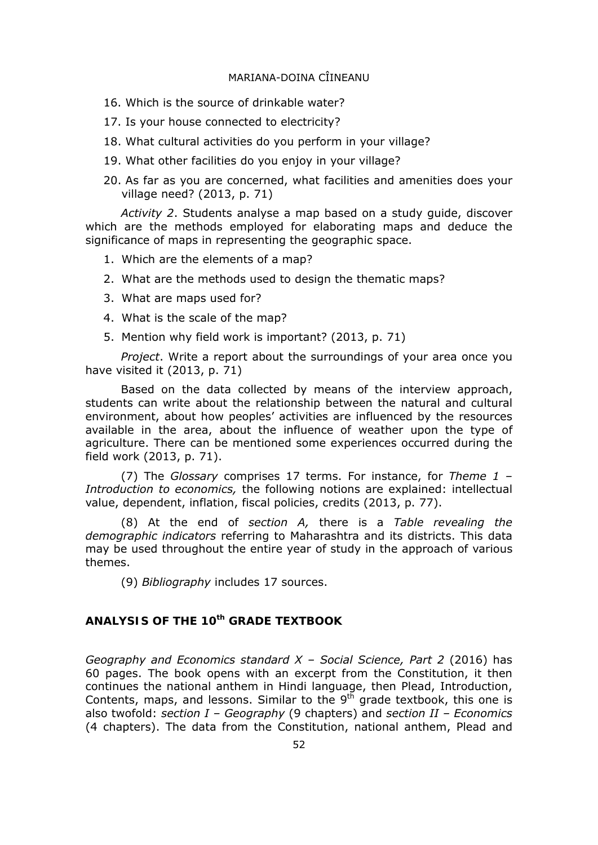- 16. Which is the source of drinkable water?
- 17. Is your house connected to electricity?
- 18. What cultural activities do you perform in your village?
- 19. What other facilities do you enjoy in your village?
- 20. As far as you are concerned, what facilities and amenities does your village need? (2013, p. 71)

*Activity 2*. Students analyse a map based on a study guide, discover which are the methods employed for elaborating maps and deduce the significance of maps in representing the geographic space.

- 1. Which are the elements of a map?
- 2. What are the methods used to design the thematic maps?
- 3. What are maps used for?
- 4. What is the scale of the map?
- 5. Mention why field work is important? (2013, p. 71)

*Project*. Write a report about the surroundings of your area once you have visited it (2013, p. 71)

Based on the data collected by means of the interview approach, students can write about the relationship between the natural and cultural environment, about how peoples' activities are influenced by the resources available in the area, about the influence of weather upon the type of agriculture. There can be mentioned some experiences occurred during the field work (2013, p. 71).

(7) The *Glossary* comprises 17 terms. For instance, for *Theme 1 – Introduction to economics,* the following notions are explained: intellectual value, dependent, inflation, fiscal policies, credits (2013, p. 77).

(8) At the end of *section A,* there is a *Table revealing the demographic indicators* referring to Maharashtra and its districts. This data may be used throughout the entire year of study in the approach of various themes.

(9) *Bibliography* includes 17 sources.

### **ANALYSIS OF THE 10th GRADE TEXTBOOK**

*Geography and Economics standard X – Social Science, Part 2* (2016) has 60 pages. The book opens with an excerpt from the Constitution, it then continues the national anthem in Hindi language, then Plead, Introduction, Contents, maps, and lessons. Similar to the  $9<sup>th</sup>$  grade textbook, this one is also twofold: *section I – Geography* (9 chapters) and *section II – Economics* (4 chapters). The data from the Constitution, national anthem, Plead and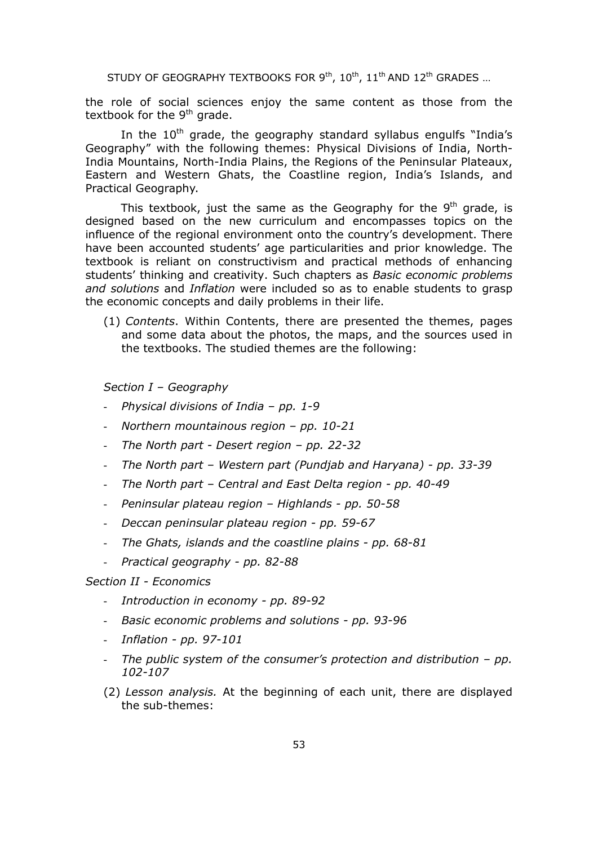the role of social sciences enjoy the same content as those from the textbook for the  $9<sup>th</sup>$  grade.

In the  $10<sup>th</sup>$  grade, the geography standard syllabus engulfs "India's Geography" with the following themes: Physical Divisions of India, North-India Mountains, North-India Plains, the Regions of the Peninsular Plateaux, Eastern and Western Ghats, the Coastline region, India's Islands, and Practical Geography.

This textbook, just the same as the Geography for the  $9<sup>th</sup>$  grade, is designed based on the new curriculum and encompasses topics on the influence of the regional environment onto the country's development. There have been accounted students' age particularities and prior knowledge. The textbook is reliant on constructivism and practical methods of enhancing students' thinking and creativity. Such chapters as *Basic economic problems and solutions* and *Inflation* were included so as to enable students to grasp the economic concepts and daily problems in their life.

(1) *Contents*. Within Contents, there are presented the themes, pages and some data about the photos, the maps, and the sources used in the textbooks. The studied themes are the following:

*Section I – Geography* 

- *Physical divisions of India pp. 1-9*
- *Northern mountainous region pp. 10-21*
- *The North part Desert region pp. 22-32*
- *The North part Western part (Pundjab and Haryana) pp. 33-39*
- *The North part Central and East Delta region pp. 40-49*
- *Peninsular plateau region Highlands pp. 50-58*
- *Deccan peninsular plateau region pp. 59-67*
- *The Ghats, islands and the coastline plains pp. 68-81*
- *Practical geography pp. 82-88*

#### *Section II - Economics*

- *Introduction in economy pp. 89-92*
- *Basic economic problems and solutions pp. 93-96*
- *Inflation pp. 97-101*
- *The public system of the consumer's protection and distribution pp. 102-107*
- (2) *Lesson analysis.* At the beginning of each unit, there are displayed the sub-themes: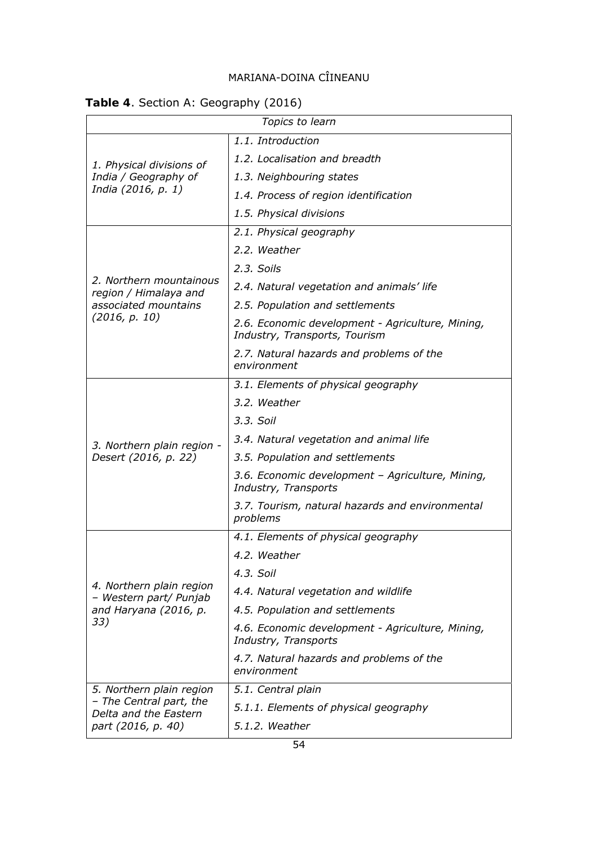# **Table 4**. Section A: Geography (2016)

|                                                    | Topics to learn                                                                   |  |
|----------------------------------------------------|-----------------------------------------------------------------------------------|--|
| 1.1. Introduction                                  |                                                                                   |  |
| 1. Physical divisions of                           | 1.2. Localisation and breadth                                                     |  |
| India / Geography of                               | 1.3. Neighbouring states                                                          |  |
| India (2016, p. 1)                                 | 1.4. Process of region identification                                             |  |
|                                                    | 1.5. Physical divisions                                                           |  |
|                                                    | 2.1. Physical geography                                                           |  |
|                                                    | 2.2. Weather                                                                      |  |
|                                                    | 2.3. Soils                                                                        |  |
| 2. Northern mountainous<br>region / Himalaya and   | 2.4. Natural vegetation and animals' life                                         |  |
| associated mountains                               | 2.5. Population and settlements                                                   |  |
| (2016, p. 10)                                      | 2.6. Economic development - Agriculture, Mining,<br>Industry, Transports, Tourism |  |
|                                                    | 2.7. Natural hazards and problems of the<br>environment                           |  |
|                                                    | 3.1. Elements of physical geography                                               |  |
|                                                    | 3.2. Weather                                                                      |  |
|                                                    | 3.3. Soil                                                                         |  |
| 3. Northern plain region -                         | 3.4. Natural vegetation and animal life                                           |  |
| Desert (2016, p. 22)                               | 3.5. Population and settlements                                                   |  |
|                                                    | 3.6. Economic development - Agriculture, Mining,<br>Industry, Transports          |  |
|                                                    | 3.7. Tourism, natural hazards and environmental<br>problems                       |  |
|                                                    | 4.1. Elements of physical geography                                               |  |
|                                                    | 4.2. Weather                                                                      |  |
|                                                    | 4.3. Soil                                                                         |  |
| 4. Northern plain region<br>- Western part/ Punjab | 4.4. Natural vegetation and wildlife                                              |  |
| and Haryana (2016, p.                              | 4.5. Population and settlements                                                   |  |
| 33)                                                | 4.6. Economic development - Agriculture, Mining,<br>Industry, Transports          |  |
|                                                    | 4.7. Natural hazards and problems of the<br>environment                           |  |
| 5. Northern plain region                           | 5.1. Central plain                                                                |  |
| - The Central part, the<br>Delta and the Eastern   | 5.1.1. Elements of physical geography                                             |  |
| part (2016, p. 40)                                 | 5.1.2. Weather                                                                    |  |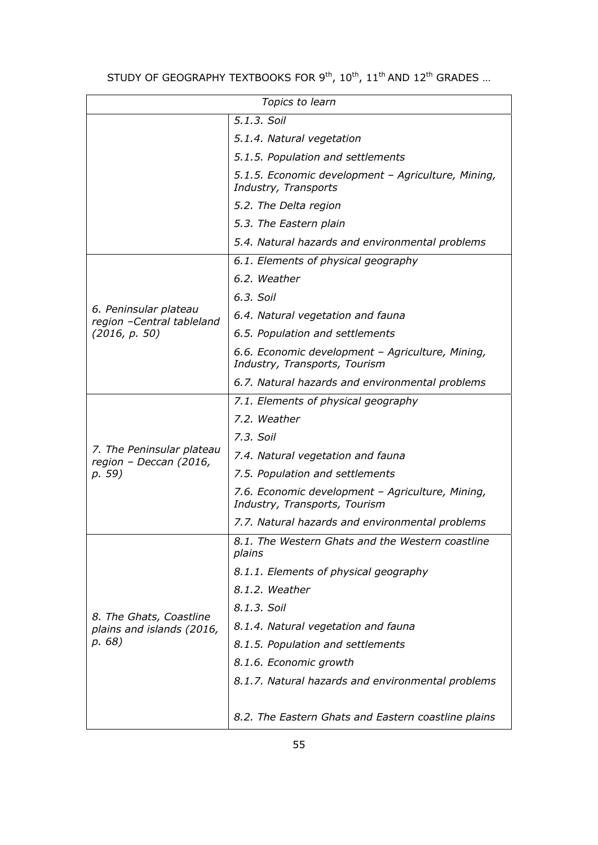| Topics to learn                                      |                                                                                   |  |
|------------------------------------------------------|-----------------------------------------------------------------------------------|--|
| 5.1.3. Soil                                          |                                                                                   |  |
|                                                      | 5.1.4. Natural vegetation                                                         |  |
|                                                      | 5.1.5. Population and settlements                                                 |  |
|                                                      | 5.1.5. Economic development - Agriculture, Mining,<br>Industry, Transports        |  |
|                                                      | 5.2. The Delta region                                                             |  |
|                                                      | 5.3. The Eastern plain                                                            |  |
|                                                      | 5.4. Natural hazards and environmental problems                                   |  |
|                                                      | 6.1. Elements of physical geography                                               |  |
|                                                      | 6.2. Weather                                                                      |  |
|                                                      | 6.3. Soil                                                                         |  |
| 6. Peninsular plateau<br>region -Central tableland   | 6.4. Natural vegetation and fauna                                                 |  |
| (2016, p. 50)                                        | 6.5. Population and settlements                                                   |  |
|                                                      | 6.6. Economic development - Agriculture, Mining,<br>Industry, Transports, Tourism |  |
|                                                      | 6.7. Natural hazards and environmental problems                                   |  |
|                                                      | 7.1. Elements of physical geography                                               |  |
|                                                      | 7.2. Weather                                                                      |  |
|                                                      | 7.3. Soil                                                                         |  |
| 7. The Peninsular plateau<br>region - Deccan (2016,  | 7.4. Natural vegetation and fauna                                                 |  |
| p. 59)                                               | 7.5. Population and settlements                                                   |  |
|                                                      | 7.6. Economic development - Agriculture, Mining,<br>Industry, Transports, Tourism |  |
|                                                      | 7.7. Natural hazards and environmental problems                                   |  |
|                                                      | 8.1. The Western Ghats and the Western coastline<br>plains                        |  |
|                                                      | 8.1.1. Elements of physical geography                                             |  |
|                                                      | 8.1.2. Weather                                                                    |  |
|                                                      | 8.1.3. Soil                                                                       |  |
| 8. The Ghats, Coastline<br>plains and islands (2016, | 8.1.4. Natural vegetation and fauna                                               |  |
| p. 68)                                               | 8.1.5. Population and settlements                                                 |  |
|                                                      | 8.1.6. Economic growth                                                            |  |
|                                                      | 8.1.7. Natural hazards and environmental problems                                 |  |
|                                                      | 8.2. The Eastern Ghats and Eastern coastline plains                               |  |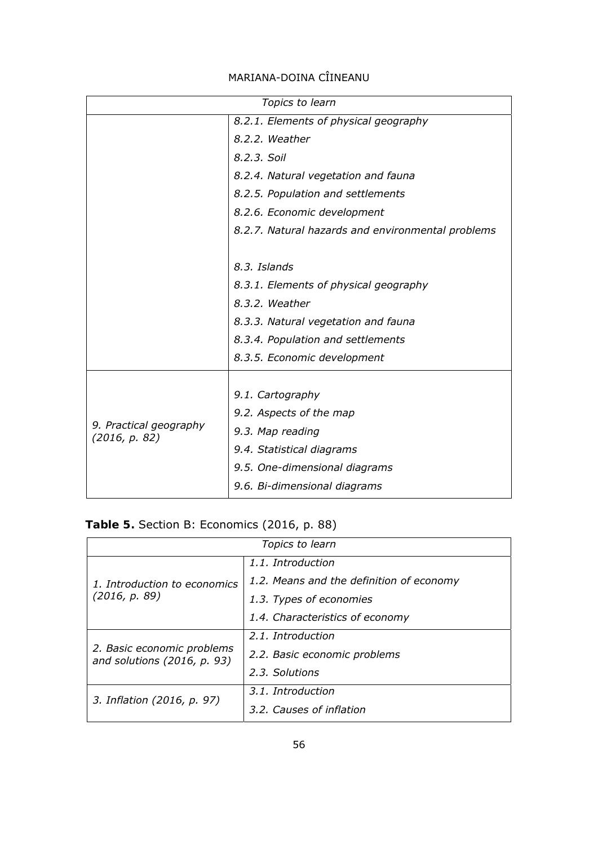| Topics to learn                         |                                                   |  |  |  |  |
|-----------------------------------------|---------------------------------------------------|--|--|--|--|
|                                         | 8.2.1. Elements of physical geography             |  |  |  |  |
|                                         | 8.2.2. Weather                                    |  |  |  |  |
|                                         | 8.2.3. Soil                                       |  |  |  |  |
|                                         | 8.2.4. Natural vegetation and fauna               |  |  |  |  |
|                                         | 8.2.5. Population and settlements                 |  |  |  |  |
|                                         | 8.2.6. Economic development                       |  |  |  |  |
|                                         | 8.2.7. Natural hazards and environmental problems |  |  |  |  |
|                                         |                                                   |  |  |  |  |
|                                         | 8.3. Islands                                      |  |  |  |  |
|                                         | 8.3.1. Elements of physical geography             |  |  |  |  |
|                                         | 8.3.2. Weather                                    |  |  |  |  |
|                                         | 8.3.3. Natural vegetation and fauna               |  |  |  |  |
|                                         | 8.3.4. Population and settlements                 |  |  |  |  |
|                                         | 8.3.5. Economic development                       |  |  |  |  |
|                                         |                                                   |  |  |  |  |
|                                         | 9.1. Cartography                                  |  |  |  |  |
|                                         | 9.2. Aspects of the map                           |  |  |  |  |
| 9. Practical geography<br>(2016, p. 82) | 9.3. Map reading                                  |  |  |  |  |
|                                         | 9.4. Statistical diagrams                         |  |  |  |  |
|                                         | 9.5. One-dimensional diagrams                     |  |  |  |  |
|                                         | 9.6. Bi-dimensional diagrams                      |  |  |  |  |

|  |  | Table 5. Section B: Economics (2016, p. 88) |  |  |
|--|--|---------------------------------------------|--|--|
|  |  |                                             |  |  |

| Topics to learn                                             |                                          |  |  |  |
|-------------------------------------------------------------|------------------------------------------|--|--|--|
|                                                             | 1.1. Introduction                        |  |  |  |
| 1. Introduction to economics                                | 1.2. Means and the definition of economy |  |  |  |
| (2016, p. 89)                                               | 1.3. Types of economies                  |  |  |  |
|                                                             | 1.4. Characteristics of economy          |  |  |  |
|                                                             | 2.1. Introduction                        |  |  |  |
| 2. Basic economic problems<br>and solutions $(2016, p. 93)$ | 2.2. Basic economic problems             |  |  |  |
|                                                             | 2.3. Solutions                           |  |  |  |
|                                                             | 3.1. Introduction                        |  |  |  |
| 3. Inflation (2016, p. 97)                                  | 3.2. Causes of inflation                 |  |  |  |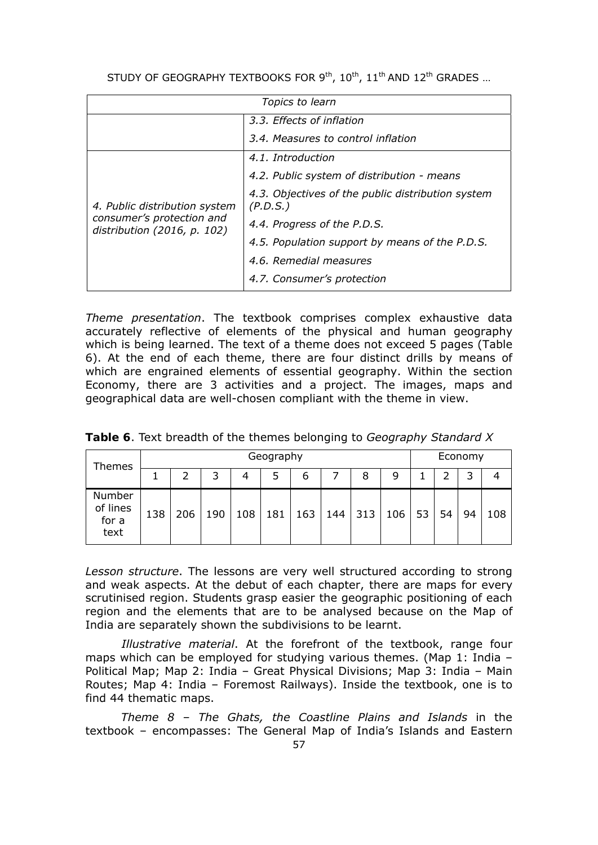| Topics to learn                                          |                                                               |  |  |  |
|----------------------------------------------------------|---------------------------------------------------------------|--|--|--|
|                                                          | 3.3. Effects of inflation                                     |  |  |  |
|                                                          | 3.4. Measures to control inflation                            |  |  |  |
|                                                          | 4.1. Introduction                                             |  |  |  |
|                                                          | 4.2. Public system of distribution - means                    |  |  |  |
| 4. Public distribution system                            | 4.3. Objectives of the public distribution system<br>(P.D.S.) |  |  |  |
| consumer's protection and<br>distribution (2016, p. 102) | 4.4. Progress of the P.D.S.                                   |  |  |  |
|                                                          | 4.5. Population support by means of the P.D.S.                |  |  |  |
|                                                          | 4.6. Remedial measures                                        |  |  |  |
|                                                          | 4.7. Consumer's protection                                    |  |  |  |

*Theme presentation*. The textbook comprises complex exhaustive data accurately reflective of elements of the physical and human geography which is being learned. The text of a theme does not exceed 5 pages (Table 6). At the end of each theme, there are four distinct drills by means of which are engrained elements of essential geography. Within the section Economy, there are 3 activities and a project. The images, maps and geographical data are well-chosen compliant with the theme in view.

| Themes                              |     |     |     |     | Geography |     |     |     |     |    |    | Economy |     |
|-------------------------------------|-----|-----|-----|-----|-----------|-----|-----|-----|-----|----|----|---------|-----|
|                                     |     |     |     | 4   | 5         | b   |     | 8   | 9   |    |    | ว       |     |
| Number<br>of lines<br>for a<br>text | 138 | 206 | 190 | 108 | 181       | 163 | 144 | 313 | 106 | 53 | 54 | 94      | 108 |

**Table 6**. Text breadth of the themes belonging to *Geography Standard X*

*Lesson structure*. The lessons are very well structured according to strong and weak aspects. At the debut of each chapter, there are maps for every scrutinised region. Students grasp easier the geographic positioning of each region and the elements that are to be analysed because on the Map of India are separately shown the subdivisions to be learnt.

*Illustrative material*. At the forefront of the textbook, range four maps which can be employed for studying various themes. (Map 1: India – Political Map; Map 2: India – Great Physical Divisions; Map 3: India – Main Routes; Map 4: India – Foremost Railways). Inside the textbook, one is to find 44 thematic maps.

*Theme 8 – The Ghats, the Coastline Plains and Islands* in the textbook – encompasses: The General Map of India's Islands and Eastern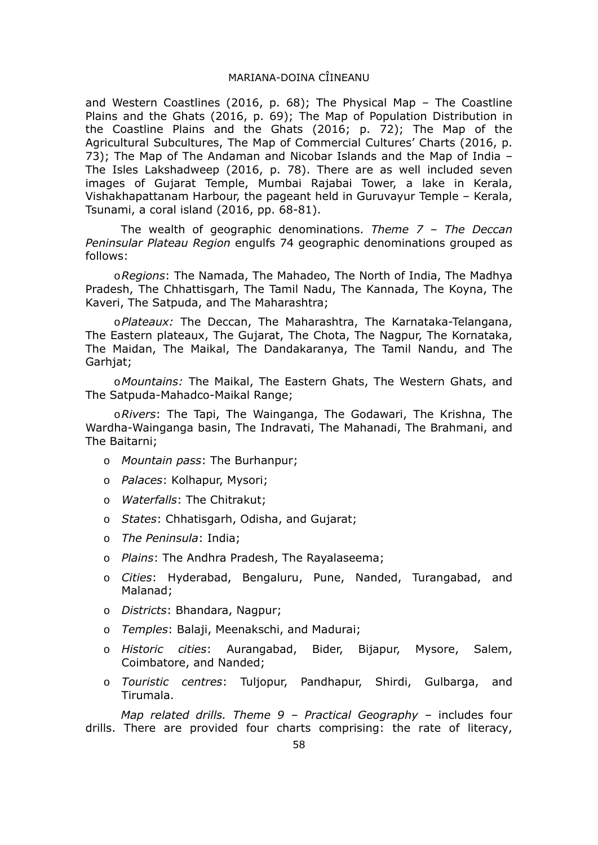and Western Coastlines (2016, p. 68); The Physical Map – The Coastline Plains and the Ghats (2016, p. 69); The Map of Population Distribution in the Coastline Plains and the Ghats (2016; p. 72); The Map of the Agricultural Subcultures, The Map of Commercial Cultures' Charts (2016, p. 73); The Map of The Andaman and Nicobar Islands and the Map of India – The Isles Lakshadweep (2016, p. 78). There are as well included seven images of Gujarat Temple, Mumbai Rajabai Tower, a lake in Kerala, Vishakhapattanam Harbour, the pageant held in Guruvayur Temple – Kerala, Tsunami, a coral island (2016, pp. 68-81).

The wealth of geographic denominations. *Theme 7 – The Deccan Peninsular Plateau Region* engulfs 74 geographic denominations grouped as follows:

o*Regions*: The Namada, The Mahadeo, The North of India, The Madhya Pradesh, The Chhattisgarh, The Tamil Nadu, The Kannada, The Koyna, The Kaveri, The Satpuda, and The Maharashtra;

o*Plateaux:* The Deccan, The Maharashtra, The Karnataka-Telangana, The Eastern plateaux, The Gujarat, The Chota, The Nagpur, The Kornataka, The Maidan, The Maikal, The Dandakaranya, The Tamil Nandu, and The Garhjat;

o*Mountains:* The Maikal, The Eastern Ghats, The Western Ghats, and The Satpuda-Mahadco-Maikal Range;

o*Rivers*: The Tapi, The Wainganga, The Godawari, The Krishna, The Wardha-Wainganga basin, The Indravati, The Mahanadi, The Brahmani, and The Baitarni;

- o *Mountain pass*: The Burhanpur;
- o *Palaces*: Kolhapur, Mysori;
- o *Waterfalls*: The Chitrakut;
- o *States*: Chhatisgarh, Odisha, and Gujarat;
- o *The Peninsula*: India;
- o *Plains*: The Andhra Pradesh, The Rayalaseema;
- o *Cities*: Hyderabad, Bengaluru, Pune, Nanded, Turangabad, and Malanad;
- o *Districts*: Bhandara, Nagpur;
- o *Temples*: Balaji, Meenakschi, and Madurai;
- o *Historic cities*: Aurangabad, Bider, Bijapur, Mysore, Salem, Coimbatore, and Nanded;
- o *Touristic centres*: Tuljopur, Pandhapur, Shirdi, Gulbarga, and Tirumala.

*Map related drills. Theme 9 – Practical Geography* – includes four drills. There are provided four charts comprising: the rate of literacy,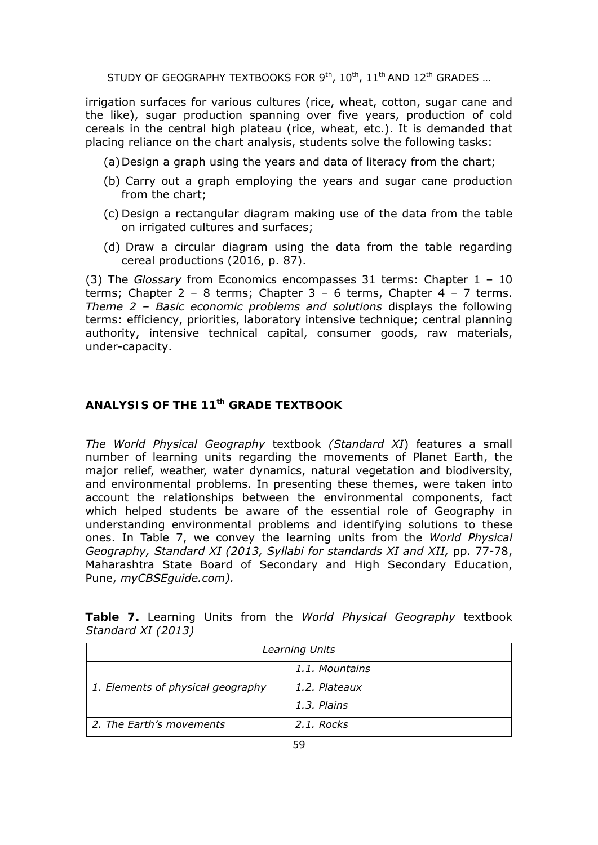irrigation surfaces for various cultures (rice, wheat, cotton, sugar cane and the like), sugar production spanning over five years, production of cold cereals in the central high plateau (rice, wheat, etc.). It is demanded that placing reliance on the chart analysis, students solve the following tasks:

(a)Design a graph using the years and data of literacy from the chart;

- (b) Carry out a graph employing the years and sugar cane production from the chart;
- (c) Design a rectangular diagram making use of the data from the table on irrigated cultures and surfaces;
- (d) Draw a circular diagram using the data from the table regarding cereal productions (2016, p. 87).

(3) The *Glossary* from Economics encompasses 31 terms: Chapter 1 – 10 terms; Chapter  $2 - 8$  terms; Chapter  $3 - 6$  terms, Chapter  $4 - 7$  terms. *Theme 2 – Basic economic problems and solutions* displays the following terms: efficiency, priorities, laboratory intensive technique; central planning authority, intensive technical capital, consumer goods, raw materials, under-capacity.

## *ANALYSIS OF THE 11th GRADE TEXTBOOK*

*The World Physical Geography* textbook *(Standard XI*) features a small number of learning units regarding the movements of Planet Earth, the major relief, weather, water dynamics, natural vegetation and biodiversity, and environmental problems. In presenting these themes, were taken into account the relationships between the environmental components, fact which helped students be aware of the essential role of Geography in understanding environmental problems and identifying solutions to these ones. In Table 7, we convey the learning units from the *World Physical Geography, Standard XI (2013, Syllabi for standards XI and XII,* pp. 77-78, Maharashtra State Board of Secondary and High Secondary Education, Pune, *myCBSEguide.com).*

| Learning Units                    |                |  |  |
|-----------------------------------|----------------|--|--|
|                                   | 1.1. Mountains |  |  |
| 1. Elements of physical geography | 1.2. Plateaux  |  |  |
|                                   | 1.3. Plains    |  |  |
| 2. The Earth's movements          | 2.1. Rocks     |  |  |

**Table 7.** Learning Units from the *World Physical Geography* textbook *Standard XI (2013)*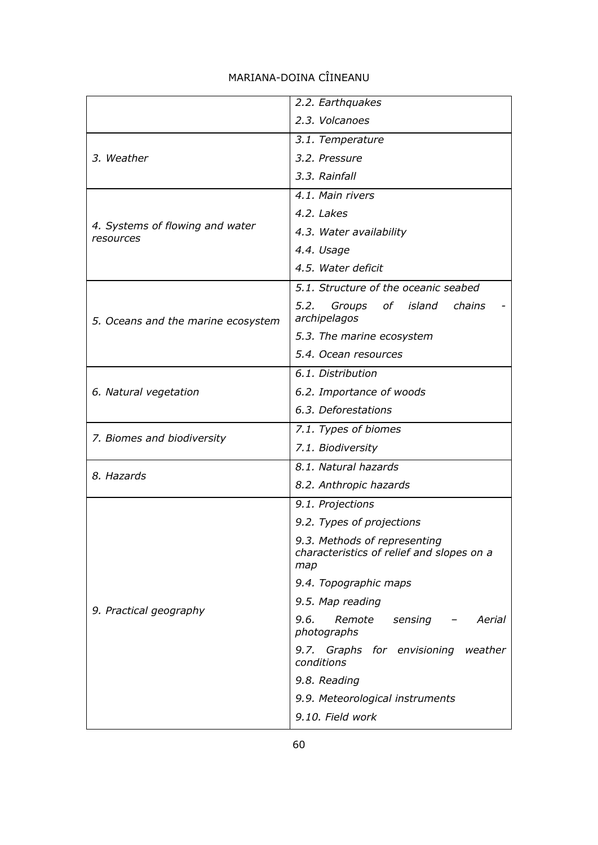|                                              | 2.2. Earthquakes                                                                 |  |  |  |  |
|----------------------------------------------|----------------------------------------------------------------------------------|--|--|--|--|
|                                              | 2.3. Volcanoes                                                                   |  |  |  |  |
|                                              | 3.1. Temperature                                                                 |  |  |  |  |
| 3. Weather                                   | 3.2. Pressure                                                                    |  |  |  |  |
|                                              | 3.3. Rainfall                                                                    |  |  |  |  |
|                                              | 4.1. Main rivers                                                                 |  |  |  |  |
|                                              | 4.2. Lakes                                                                       |  |  |  |  |
| 4. Systems of flowing and water<br>resources | 4.3. Water availability                                                          |  |  |  |  |
|                                              | 4.4. Usage                                                                       |  |  |  |  |
|                                              | 4.5. Water deficit                                                               |  |  |  |  |
|                                              | 5.1. Structure of the oceanic seabed                                             |  |  |  |  |
| 5. Oceans and the marine ecosystem           | Groups of island<br>chains<br>5.2.<br>archipelagos                               |  |  |  |  |
|                                              | 5.3. The marine ecosystem                                                        |  |  |  |  |
|                                              | 5.4. Ocean resources                                                             |  |  |  |  |
|                                              | 6.1. Distribution                                                                |  |  |  |  |
| 6. Natural vegetation                        | 6.2. Importance of woods                                                         |  |  |  |  |
|                                              | 6.3. Deforestations                                                              |  |  |  |  |
|                                              | 7.1. Types of biomes                                                             |  |  |  |  |
| 7. Biomes and biodiversity                   | 7.1. Biodiversity                                                                |  |  |  |  |
| 8. Hazards                                   | 8.1. Natural hazards                                                             |  |  |  |  |
|                                              | 8.2. Anthropic hazards                                                           |  |  |  |  |
|                                              | 9.1. Projections                                                                 |  |  |  |  |
|                                              | 9.2. Types of projections                                                        |  |  |  |  |
|                                              | 9.3. Methods of representing<br>characteristics of relief and slopes on a<br>map |  |  |  |  |
|                                              | 9.4. Topographic maps                                                            |  |  |  |  |
| 9. Practical geography                       | 9.5. Map reading                                                                 |  |  |  |  |
|                                              | 9.6.<br>Remote<br>sensing<br>Aerial<br>photographs                               |  |  |  |  |
|                                              | 9.7. Graphs for envisioning weather<br>conditions                                |  |  |  |  |
|                                              | 9.8. Reading                                                                     |  |  |  |  |
|                                              | 9.9. Meteorological instruments                                                  |  |  |  |  |
|                                              | 9.10. Field work                                                                 |  |  |  |  |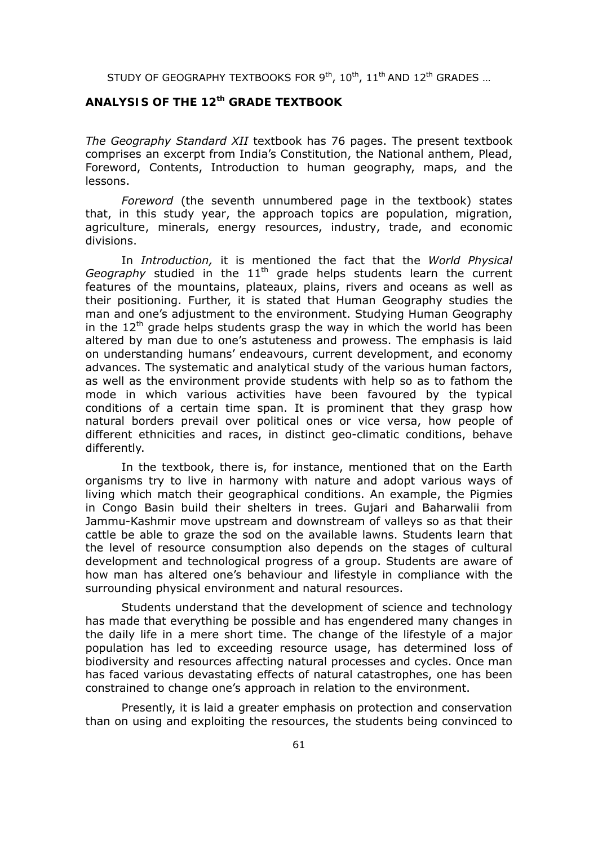## *ANALYSIS OF THE 12th GRADE TEXTBOOK*

*The Geography Standard XII* textbook has 76 pages. The present textbook comprises an excerpt from India's Constitution, the National anthem, Plead, Foreword, Contents, Introduction to human geography, maps, and the lessons.

*Foreword* (the seventh unnumbered page in the textbook) states that, in this study year, the approach topics are population, migration, agriculture, minerals, energy resources, industry, trade, and economic divisions.

In *Introduction,* it is mentioned the fact that the *World Physical Geography* studied in the 11<sup>th</sup> grade helps students learn the current features of the mountains, plateaux, plains, rivers and oceans as well as their positioning. Further, it is stated that Human Geography studies the man and one's adjustment to the environment. Studying Human Geography in the  $12<sup>th</sup>$  grade helps students grasp the way in which the world has been altered by man due to one's astuteness and prowess. The emphasis is laid on understanding humans' endeavours, current development, and economy advances. The systematic and analytical study of the various human factors, as well as the environment provide students with help so as to fathom the mode in which various activities have been favoured by the typical conditions of a certain time span. It is prominent that they grasp how natural borders prevail over political ones or vice versa, how people of different ethnicities and races, in distinct geo-climatic conditions, behave differently.

In the textbook, there is, for instance, mentioned that on the Earth organisms try to live in harmony with nature and adopt various ways of living which match their geographical conditions. An example, the Pigmies in Congo Basin build their shelters in trees. Gujari and Baharwalii from Jammu-Kashmir move upstream and downstream of valleys so as that their cattle be able to graze the sod on the available lawns. Students learn that the level of resource consumption also depends on the stages of cultural development and technological progress of a group. Students are aware of how man has altered one's behaviour and lifestyle in compliance with the surrounding physical environment and natural resources.

Students understand that the development of science and technology has made that everything be possible and has engendered many changes in the daily life in a mere short time. The change of the lifestyle of a major population has led to exceeding resource usage, has determined loss of biodiversity and resources affecting natural processes and cycles. Once man has faced various devastating effects of natural catastrophes, one has been constrained to change one's approach in relation to the environment.

Presently, it is laid a greater emphasis on protection and conservation than on using and exploiting the resources, the students being convinced to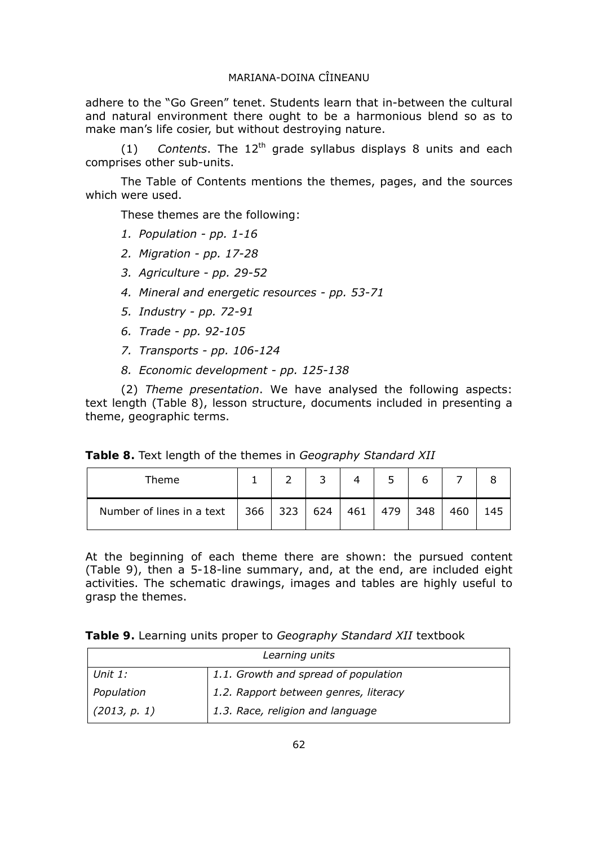adhere to the "Go Green" tenet. Students learn that in-between the cultural and natural environment there ought to be a harmonious blend so as to make man's life cosier, but without destroying nature.

 $(1)$  *Contents*. The  $12<sup>th</sup>$  grade syllabus displays 8 units and each comprises other sub-units.

The Table of Contents mentions the themes, pages, and the sources which were used.

These themes are the following:

- *1. Population pp. 1-16*
- *2. Migration pp. 17-28*
- *3. Agriculture pp. 29-52*
- *4. Mineral and energetic resources pp. 53-71*
- *5. Industry pp. 72-91*
- *6. Trade pp. 92-105*
- *7. Transports pp. 106-124*
- *8. Economic development pp. 125-138*

(2) *Theme presentation*. We have analysed the following aspects: text length (Table 8), lesson structure, documents included in presenting a theme, geographic terms.

|  |  |  | Table 8. Text length of the themes in Geography Standard XII |  |
|--|--|--|--------------------------------------------------------------|--|
|  |  |  |                                                              |  |

| Theme                                                     |  |     |     |     |     |     |     |
|-----------------------------------------------------------|--|-----|-----|-----|-----|-----|-----|
| Number of lines in a text $\vert$ 366 $\vert$ 323 $\vert$ |  | 624 | 461 | 479 | 348 | 460 | 145 |

At the beginning of each theme there are shown: the pursued content (Table 9), then a 5-18-line summary, and, at the end, are included eight activities. The schematic drawings, images and tables are highly useful to grasp the themes.

**Table 9.** Learning units proper to *Geography Standard XII* textbook

| Learning units |                                       |  |  |  |
|----------------|---------------------------------------|--|--|--|
| Unit 1:        | 1.1. Growth and spread of population  |  |  |  |
| Population     | 1.2. Rapport between genres, literacy |  |  |  |
| (2013, p. 1)   | 1.3. Race, religion and language      |  |  |  |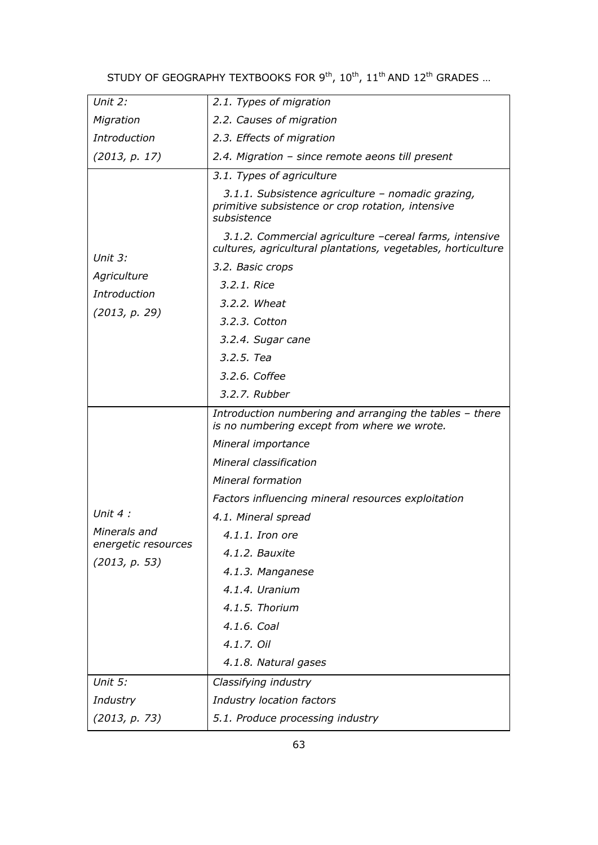| Unit 2:             | 2.1. Types of migration                                                                                                |
|---------------------|------------------------------------------------------------------------------------------------------------------------|
| Migration           | 2.2. Causes of migration                                                                                               |
| <b>Introduction</b> | 2.3. Effects of migration                                                                                              |
| (2013, p. 17)       | 2.4. Migration - since remote aeons till present                                                                       |
|                     | 3.1. Types of agriculture                                                                                              |
|                     | 3.1.1. Subsistence agriculture - nomadic grazing,<br>primitive subsistence or crop rotation, intensive<br>subsistence  |
| Unit 3:             | 3.1.2. Commercial agriculture -cereal farms, intensive<br>cultures, agricultural plantations, vegetables, horticulture |
|                     | 3.2. Basic crops                                                                                                       |
| Agriculture         | 3.2.1. Rice                                                                                                            |
| Introduction        | 3.2.2. Wheat                                                                                                           |
| (2013, p. 29)       | 3.2.3. Cotton                                                                                                          |
|                     | 3.2.4. Sugar cane                                                                                                      |
|                     | 3.2.5. Tea                                                                                                             |
|                     | 3.2.6. Coffee                                                                                                          |
|                     | 3.2.7. Rubber                                                                                                          |
|                     | Introduction numbering and arranging the tables - there<br>is no numbering except from where we wrote.                 |
|                     | Mineral importance                                                                                                     |
|                     | <b>Mineral classification</b>                                                                                          |
|                     | Mineral formation                                                                                                      |
|                     | Factors influencing mineral resources exploitation                                                                     |
| Unit $4$ :          | 4.1. Mineral spread                                                                                                    |
| Minerals and        | $4.1.1.$ Iron ore                                                                                                      |
| energetic resources | 4.1.2. Bauxite                                                                                                         |
| (2013, p. 53)       | 4.1.3. Manganese                                                                                                       |
|                     | 4.1.4. Uranium                                                                                                         |
|                     | 4.1.5. Thorium                                                                                                         |
|                     | 4.1.6. Coal                                                                                                            |
|                     | 4.1.7. Oil                                                                                                             |
|                     | 4.1.8. Natural gases                                                                                                   |
| Unit 5:             | Classifying industry                                                                                                   |
| Industry            | Industry location factors                                                                                              |
| (2013, p. 73)       | 5.1. Produce processing industry                                                                                       |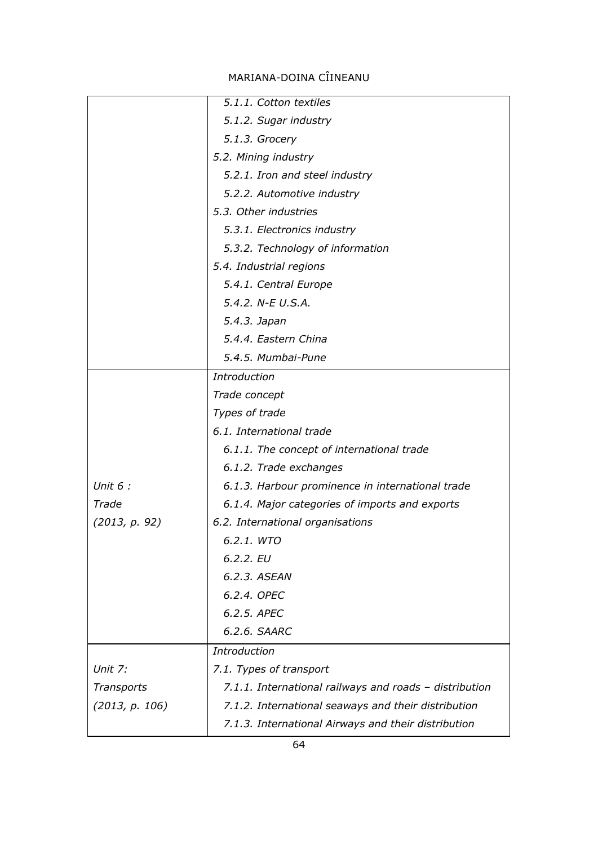|                | 5.1.1. Cotton textiles                                 |
|----------------|--------------------------------------------------------|
|                | 5.1.2. Sugar industry                                  |
|                | 5.1.3. Grocery                                         |
|                | 5.2. Mining industry                                   |
|                | 5.2.1. Iron and steel industry                         |
|                | 5.2.2. Automotive industry                             |
|                | 5.3. Other industries                                  |
|                | 5.3.1. Electronics industry                            |
|                | 5.3.2. Technology of information                       |
|                | 5.4. Industrial regions                                |
|                | 5.4.1. Central Europe                                  |
|                | 5.4.2. N-E U.S.A.                                      |
|                | 5.4.3. Japan                                           |
|                | 5.4.4. Eastern China                                   |
|                | 5.4.5. Mumbai-Pune                                     |
|                | Introduction                                           |
|                | Trade concept                                          |
|                | Types of trade                                         |
|                | 6.1. International trade                               |
|                | 6.1.1. The concept of international trade              |
|                | 6.1.2. Trade exchanges                                 |
| Unit $6:$      | 6.1.3. Harbour prominence in international trade       |
| Trade          | 6.1.4. Major categories of imports and exports         |
| (2013, p. 92)  | 6.2. International organisations                       |
|                | 6.2.1. WTO                                             |
|                | $6.2.2.$ EU                                            |
|                | 6.2.3. ASEAN                                           |
|                | 6.2.4. OPEC                                            |
|                | 6.2.5. APEC                                            |
|                | 6.2.6. SAARC                                           |
|                | <b>Introduction</b>                                    |
| Unit 7:        | 7.1. Types of transport                                |
| Transports     | 7.1.1. International railways and roads - distribution |
| (2013, p. 106) | 7.1.2. International seaways and their distribution    |
|                | 7.1.3. International Airways and their distribution    |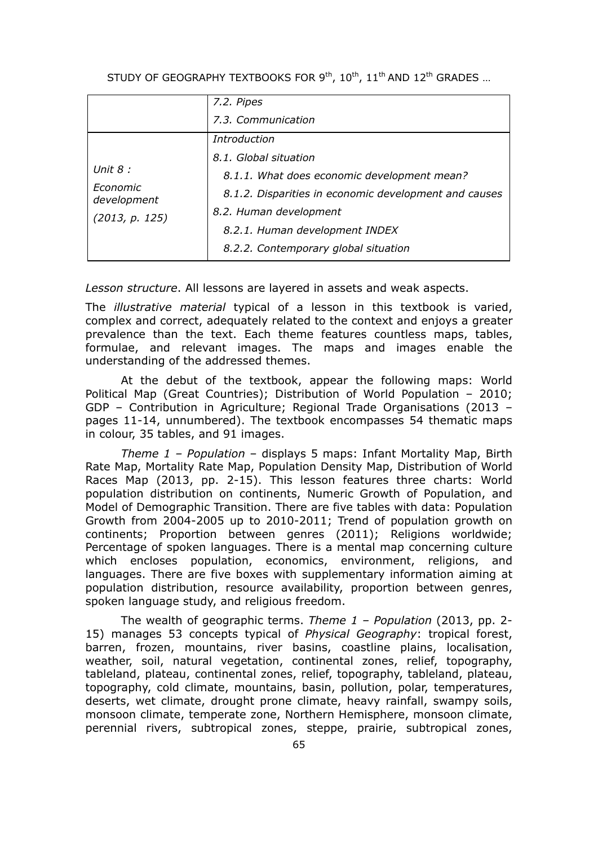|                         | 7.2. Pipes                                            |
|-------------------------|-------------------------------------------------------|
|                         | 7.3. Communication                                    |
|                         | <i>Introduction</i>                                   |
| Unit $8:$               | 8.1. Global situation                                 |
|                         | 8.1.1. What does economic development mean?           |
| Economic<br>development | 8.1.2. Disparities in economic development and causes |
| (2013, p. 125)          | 8.2. Human development                                |
|                         | 8.2.1. Human development INDEX                        |
|                         | 8.2.2. Contemporary global situation                  |

*Lesson structure*. All lessons are layered in assets and weak aspects.

The *illustrative material* typical of a lesson in this textbook is varied, complex and correct, adequately related to the context and enjoys a greater prevalence than the text. Each theme features countless maps, tables, formulae, and relevant images. The maps and images enable the understanding of the addressed themes.

At the debut of the textbook, appear the following maps: World Political Map (Great Countries); Distribution of World Population – 2010; GDP – Contribution in Agriculture; Regional Trade Organisations (2013 – pages 11-14, unnumbered). The textbook encompasses 54 thematic maps in colour, 35 tables, and 91 images.

*Theme 1 – Population* – displays 5 maps: Infant Mortality Map, Birth Rate Map, Mortality Rate Map, Population Density Map, Distribution of World Races Map (2013, pp. 2-15). This lesson features three charts: World population distribution on continents, Numeric Growth of Population, and Model of Demographic Transition. There are five tables with data: Population Growth from 2004-2005 up to 2010-2011; Trend of population growth on continents; Proportion between genres (2011); Religions worldwide; Percentage of spoken languages. There is a mental map concerning culture which encloses population, economics, environment, religions, and languages. There are five boxes with supplementary information aiming at population distribution, resource availability, proportion between genres, spoken language study, and religious freedom.

The wealth of geographic terms. *Theme 1 – Population* (2013, pp. 2- 15) manages 53 concepts typical of *Physical Geography*: tropical forest, barren, frozen, mountains, river basins, coastline plains, localisation, weather, soil, natural vegetation, continental zones, relief, topography, tableland, plateau, continental zones, relief, topography, tableland, plateau, topography, cold climate, mountains, basin, pollution, polar, temperatures, deserts, wet climate, drought prone climate, heavy rainfall, swampy soils, monsoon climate, temperate zone, Northern Hemisphere, monsoon climate, perennial rivers, subtropical zones, steppe, prairie, subtropical zones,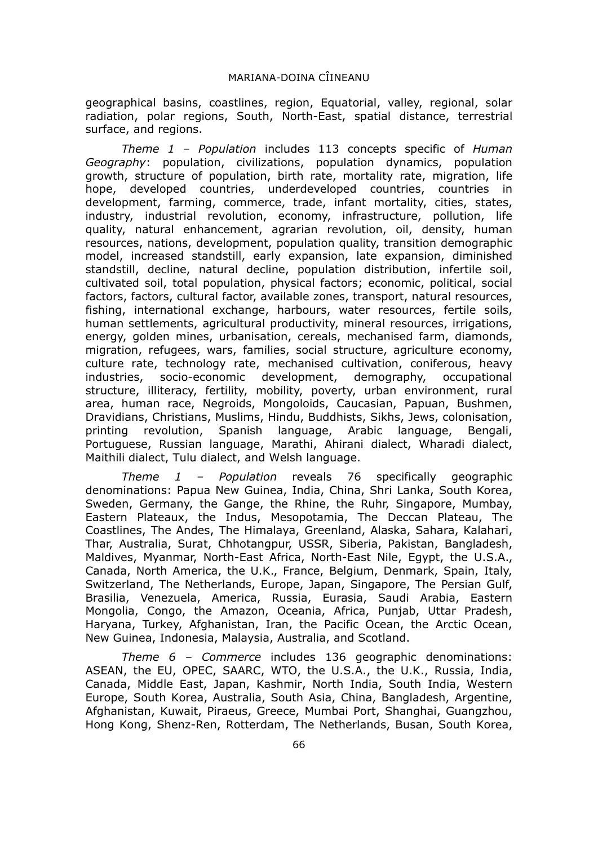geographical basins, coastlines, region, Equatorial, valley, regional, solar radiation, polar regions, South, North-East, spatial distance, terrestrial surface, and regions.

*Theme 1 – Population* includes 113 concepts specific of *Human Geography*: population, civilizations, population dynamics, population growth, structure of population, birth rate, mortality rate, migration, life hope, developed countries, underdeveloped countries, countries in development, farming, commerce, trade, infant mortality, cities, states, industry, industrial revolution, economy, infrastructure, pollution, life quality, natural enhancement, agrarian revolution, oil, density, human resources, nations, development, population quality, transition demographic model, increased standstill, early expansion, late expansion, diminished standstill, decline, natural decline, population distribution, infertile soil, cultivated soil, total population, physical factors; economic, political, social factors, factors, cultural factor, available zones, transport, natural resources, fishing, international exchange, harbours, water resources, fertile soils, human settlements, agricultural productivity, mineral resources, irrigations, energy, golden mines, urbanisation, cereals, mechanised farm, diamonds, migration, refugees, wars, families, social structure, agriculture economy, culture rate, technology rate, mechanised cultivation, coniferous, heavy industries, socio-economic development, demography, occupational structure, illiteracy, fertility, mobility, poverty, urban environment, rural area, human race, Negroids, Mongoloids, Caucasian, Papuan, Bushmen, Dravidians, Christians, Muslims, Hindu, Buddhists, Sikhs, Jews, colonisation, printing revolution, Spanish language, Arabic language, Bengali, Portuguese, Russian language, Marathi, Ahirani dialect, Wharadi dialect, Maithili dialect, Tulu dialect, and Welsh language.

*Theme 1 – Population* reveals 76 specifically geographic denominations: Papua New Guinea, India, China, Shri Lanka, South Korea, Sweden, Germany, the Gange, the Rhine, the Ruhr, Singapore, Mumbay, Eastern Plateaux, the Indus, Mesopotamia, The Deccan Plateau, The Coastlines, The Andes, The Himalaya, Greenland, Alaska, Sahara, Kalahari, Thar, Australia, Surat, Chhotangpur, USSR, Siberia, Pakistan, Bangladesh, Maldives, Myanmar, North-East Africa, North-East Nile, Egypt, the U.S.A., Canada, North America, the U.K., France, Belgium, Denmark, Spain, Italy, Switzerland, The Netherlands, Europe, Japan, Singapore, The Persian Gulf, Brasilia, Venezuela, America, Russia, Eurasia, Saudi Arabia, Eastern Mongolia, Congo, the Amazon, Oceania, Africa, Punjab, Uttar Pradesh, Haryana, Turkey, Afghanistan, Iran, the Pacific Ocean, the Arctic Ocean, New Guinea, Indonesia, Malaysia, Australia, and Scotland.

*Theme 6 – Commerce* includes 136 geographic denominations: ASEAN, the EU, OPEC, SAARC, WTO, the U.S.A., the U.K., Russia, India, Canada, Middle East, Japan, Kashmir, North India, South India, Western Europe, South Korea, Australia, South Asia, China, Bangladesh, Argentine, Afghanistan, Kuwait, Piraeus, Greece, Mumbai Port, Shanghai, Guangzhou, Hong Kong, Shenz-Ren, Rotterdam, The Netherlands, Busan, South Korea,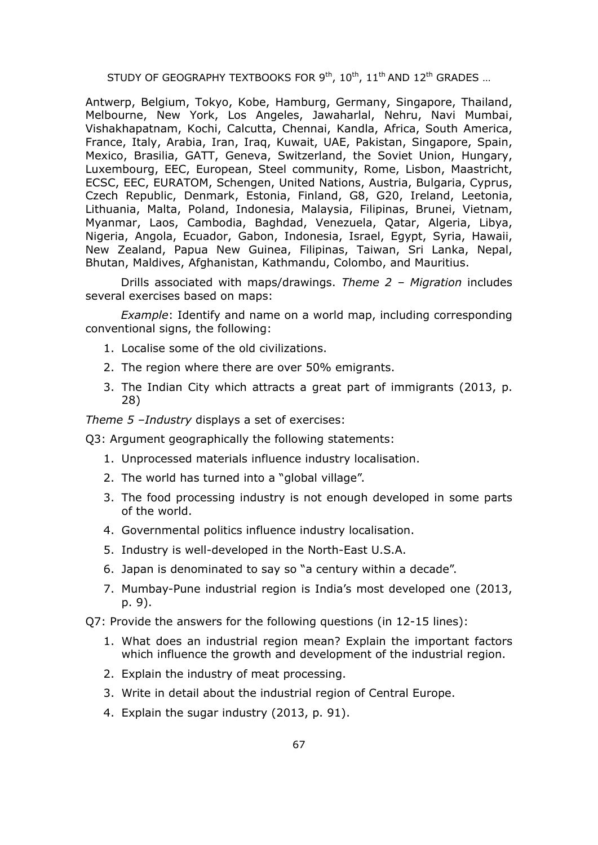Antwerp, Belgium, Tokyo, Kobe, Hamburg, Germany, Singapore, Thailand, Melbourne, New York, Los Angeles, Jawaharlal, Nehru, Navi Mumbai, Vishakhapatnam, Kochi, Calcutta, Chennai, Kandla, Africa, South America, France, Italy, Arabia, Iran, Iraq, Kuwait, UAE, Pakistan, Singapore, Spain, Mexico, Brasilia, GATT, Geneva, Switzerland, the Soviet Union, Hungary, Luxembourg, EEC, European, Steel community, Rome, Lisbon, Maastricht, ECSC, EEC, EURATOM, Schengen, United Nations, Austria, Bulgaria, Cyprus, Czech Republic, Denmark, Estonia, Finland, G8, G20, Ireland, Leetonia, Lithuania, Malta, Poland, Indonesia, Malaysia, Filipinas, Brunei, Vietnam, Myanmar, Laos, Cambodia, Baghdad, Venezuela, Qatar, Algeria, Libya, Nigeria, Angola, Ecuador, Gabon, Indonesia, Israel, Egypt, Syria, Hawaii, New Zealand, Papua New Guinea, Filipinas, Taiwan, Sri Lanka, Nepal, Bhutan, Maldives, Afghanistan, Kathmandu, Colombo, and Mauritius.

Drills associated with maps/drawings. *Theme 2 – Migration* includes several exercises based on maps:

*Example*: Identify and name on a world map, including corresponding conventional signs, the following:

- 1. Localise some of the old civilizations.
- 2. The region where there are over 50% emigrants.
- 3. The Indian City which attracts a great part of immigrants (2013, p. 28)

*Theme 5 –Industry* displays a set of exercises:

Q3: Argument geographically the following statements:

- 1. Unprocessed materials influence industry localisation.
- 2. The world has turned into a "global village".
- 3. The food processing industry is not enough developed in some parts of the world.
- 4. Governmental politics influence industry localisation.
- 5. Industry is well-developed in the North-East U.S.A.
- 6. Japan is denominated to say so "a century within a decade".
- 7. Mumbay-Pune industrial region is India's most developed one (2013, p. 9).

Q7: Provide the answers for the following questions (in 12-15 lines):

- 1. What does an industrial region mean? Explain the important factors which influence the growth and development of the industrial region.
- 2. Explain the industry of meat processing.
- 3. Write in detail about the industrial region of Central Europe.
- 4. Explain the sugar industry (2013, p. 91).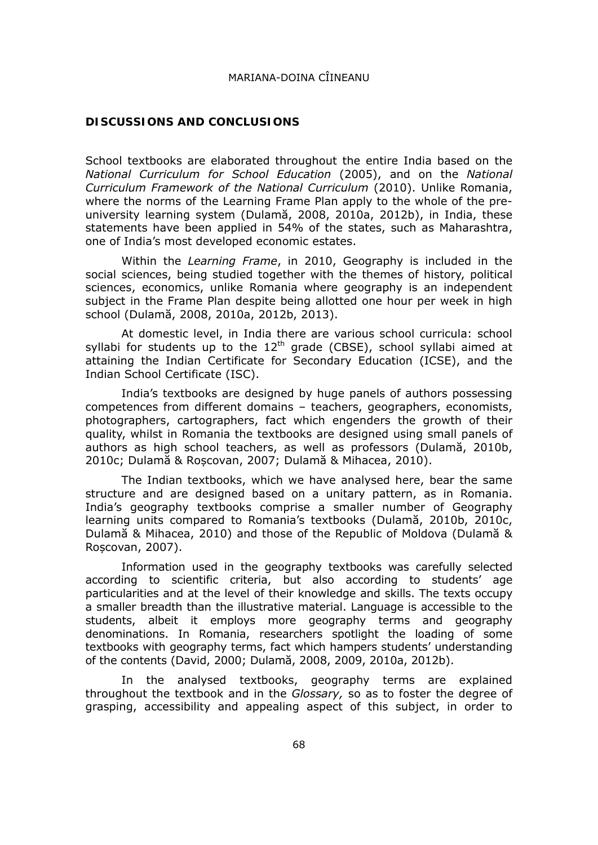#### **DISCUSSIONS AND CONCLUSIONS**

School textbooks are elaborated throughout the entire India based on the *National Curriculum for School Education* (2005), and on the *National Curriculum Framework of the National Curriculum* (2010). Unlike Romania, where the norms of the Learning Frame Plan apply to the whole of the preuniversity learning system (Dulamă, 2008, 2010a, 2012b), in India, these statements have been applied in 54% of the states, such as Maharashtra, one of India's most developed economic estates.

Within the *Learning Frame*, in 2010, Geography is included in the social sciences, being studied together with the themes of history, political sciences, economics, unlike Romania where geography is an independent subject in the Frame Plan despite being allotted one hour per week in high school (Dulamă, 2008, 2010a, 2012b, 2013).

At domestic level, in India there are various school curricula: school syllabi for students up to the  $12<sup>th</sup>$  grade (CBSE), school syllabi aimed at attaining the Indian Certificate for Secondary Education (ICSE), and the Indian School Certificate (ISC).

India's textbooks are designed by huge panels of authors possessing competences from different domains – teachers, geographers, economists, photographers, cartographers, fact which engenders the growth of their quality, whilst in Romania the textbooks are designed using small panels of authors as high school teachers, as well as professors (Dulamă, 2010b, 2010c; Dulamă & Roșcovan, 2007; Dulamă & Mihacea, 2010).

The Indian textbooks, which we have analysed here, bear the same structure and are designed based on a unitary pattern, as in Romania. India's geography textbooks comprise a smaller number of Geography learning units compared to Romania's textbooks (Dulamă, 2010b, 2010c, Dulamă & Mihacea, 2010) and those of the Republic of Moldova (Dulamă & Roșcovan, 2007).

Information used in the geography textbooks was carefully selected according to scientific criteria, but also according to students' age particularities and at the level of their knowledge and skills. The texts occupy a smaller breadth than the illustrative material. Language is accessible to the students, albeit it employs more geography terms and geography denominations. In Romania, researchers spotlight the loading of some textbooks with geography terms, fact which hampers students' understanding of the contents (David, 2000; Dulamă, 2008, 2009, 2010a, 2012b).

In the analysed textbooks, geography terms are explained throughout the textbook and in the *Glossary,* so as to foster the degree of grasping, accessibility and appealing aspect of this subject, in order to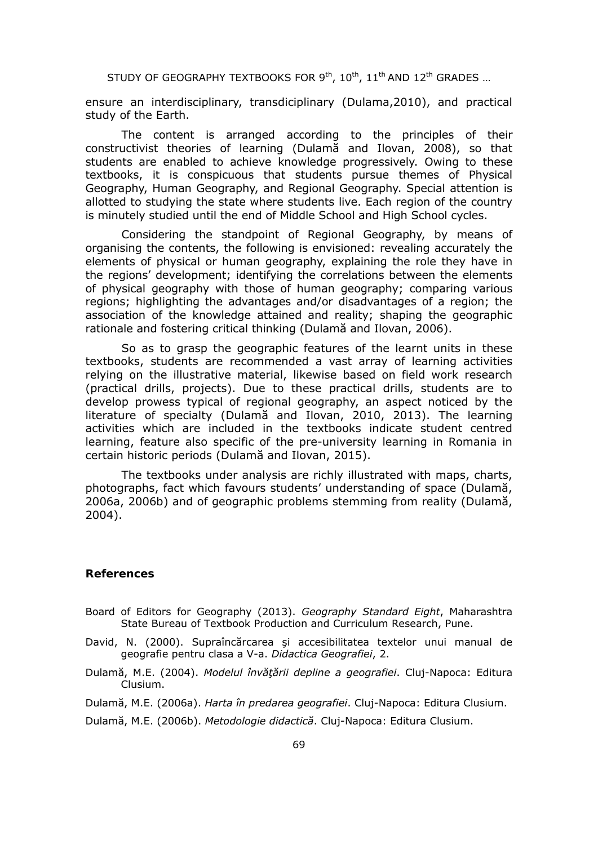ensure an interdisciplinary, transdiciplinary (Dulama,2010), and practical study of the Earth.

The content is arranged according to the principles of their constructivist theories of learning (Dulamă and Ilovan, 2008), so that students are enabled to achieve knowledge progressively. Owing to these textbooks, it is conspicuous that students pursue themes of Physical Geography, Human Geography, and Regional Geography. Special attention is allotted to studying the state where students live. Each region of the country is minutely studied until the end of Middle School and High School cycles.

Considering the standpoint of Regional Geography, by means of organising the contents, the following is envisioned: revealing accurately the elements of physical or human geography, explaining the role they have in the regions' development; identifying the correlations between the elements of physical geography with those of human geography; comparing various regions; highlighting the advantages and/or disadvantages of a region; the association of the knowledge attained and reality; shaping the geographic rationale and fostering critical thinking (Dulamă and Ilovan, 2006).

So as to grasp the geographic features of the learnt units in these textbooks, students are recommended a vast array of learning activities relying on the illustrative material, likewise based on field work research (practical drills, projects). Due to these practical drills, students are to develop prowess typical of regional geography, an aspect noticed by the literature of specialty (Dulamă and Ilovan, 2010, 2013). The learning activities which are included in the textbooks indicate student centred learning, feature also specific of the pre-university learning in Romania in certain historic periods (Dulamă and Ilovan, 2015).

The textbooks under analysis are richly illustrated with maps, charts, photographs, fact which favours students' understanding of space (Dulamă, 2006a, 2006b) and of geographic problems stemming from reality (Dulamă, 2004).

#### **References**

- Board of Editors for Geography (2013). *Geography Standard Eight*, Maharashtra State Bureau of Textbook Production and Curriculum Research, Pune.
- David, N. (2000). Supraîncărcarea şi accesibilitatea textelor unui manual de geografie pentru clasa a V-a. *Didactica Geografiei*, 2.
- Dulamă, M.E. (2004). *Modelul învăţării depline a geografiei*. Cluj-Napoca: Editura Clusium.
- Dulamă, M.E. (2006a). *Harta în predarea geografiei*. Cluj-Napoca: Editura Clusium.
- Dulamă, M.E. (2006b). *Metodologie didactică*. Cluj-Napoca: Editura Clusium.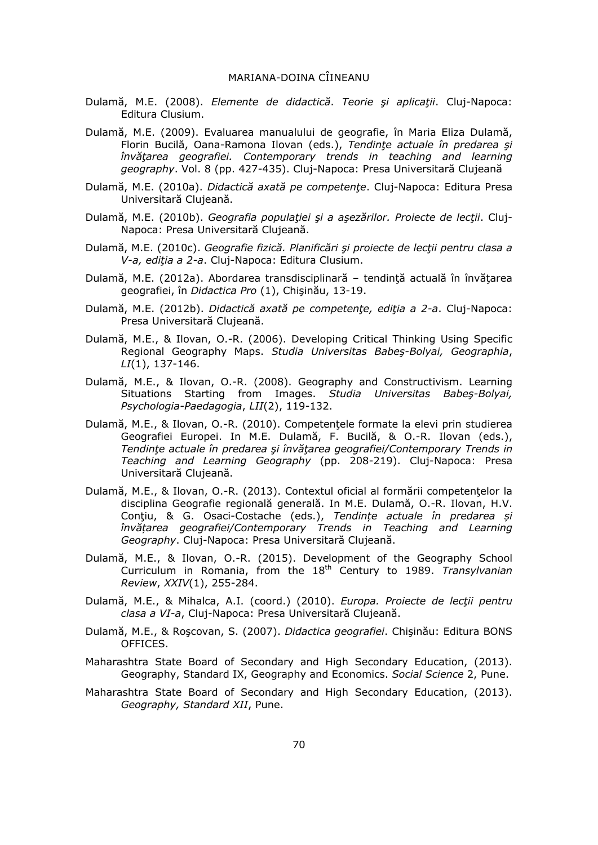- Dulamă, M.E. (2008). *Elemente de didactică*. *Teorie şi aplicaţii*. Cluj-Napoca: Editura Clusium.
- Dulamă, M.E. (2009). Evaluarea manualului de geografie, în Maria Eliza Dulamă, Florin Bucilă, Oana-Ramona Ilovan (eds.), *Tendinţe actuale în predarea şi învăţarea geografiei. Contemporary trends in teaching and learning geography*. Vol. 8 (pp. 427-435). Cluj-Napoca: Presa Universitară Clujeană
- Dulamă, M.E. (2010a). *Didactică axată pe competenţe*. Cluj-Napoca: Editura Presa Universitară Clujeană.
- Dulamă, M.E. (2010b). *Geografia populaţiei şi a aşezărilor. Proiecte de lecţii*. Cluj-Napoca: Presa Universitară Clujeană.
- Dulamă, M.E. (2010c). *Geografie fizică. Planificări şi proiecte de lecţii pentru clasa a V-a, ediţia a 2-a*. Cluj-Napoca: Editura Clusium.
- Dulamă, M.E. (2012a). Abordarea transdisciplinară tendinţă actuală în învăţarea geografiei, în *Didactica Pro* (1), Chişinău, 13-19.
- Dulamă, M.E. (2012b). *Didactică axată pe competenţe, ediţia a 2-a*. Cluj-Napoca: Presa Universitară Clujeană.
- Dulamă, M.E., & Ilovan, O.-R. (2006). Developing Critical Thinking Using Specific Regional Geography Maps. *Studia Universitas Babeş-Bolyai, Geographia*, *LI*(1), 137-146.
- Dulamă, M.E., & Ilovan, O.-R. (2008). Geography and Constructivism. Learning Situations Starting from Images. *Studia Universitas Babeş-Bolyai, Psychologia-Paedagogia*, *LII*(2), 119-132.
- Dulamă, M.E., & Ilovan, O.-R. (2010). Competenţele formate la elevi prin studierea Geografiei Europei. In M.E. Dulamă, F. Bucilă, & O.-R. Ilovan (eds.), *Tendinţe actuale în predarea şi învăţarea geografiei/Contemporary Trends in Teaching and Learning Geography* (pp. 208-219). Cluj-Napoca: Presa Universitară Clujeană.
- Dulamă, M.E., & Ilovan, O.-R. (2013). Contextul oficial al formării competenţelor la disciplina Geografie regională generală. In M.E. Dulamă, O.-R. Ilovan, H.V. Conţiu, & G. Osaci-Costache (eds.), *Tendințe actuale în predarea și învățarea geografiei/Contemporary Trends in Teaching and Learning Geography*. Cluj-Napoca: Presa Universitară Clujeană.
- Dulamă, M.E., & Ilovan, O.-R. (2015). Development of the Geography School Curriculum in Romania, from the 18th Century to 1989. *Transylvanian Review*, *XXIV*(1), 255-284.
- Dulamă, M.E., & Mihalca, A.I. (coord.) (2010). *Europa. Proiecte de lecţii pentru clasa a VI-a*, Cluj-Napoca: Presa Universitară Clujeană.
- Dulamă, M.E., & Roşcovan, S. (2007). *Didactica geografiei*. Chişinău: Editura BONS OFFICES.
- Maharashtra State Board of Secondary and High Secondary Education, (2013). Geography, Standard IX, Geography and Economics. *Social Science* 2, Pune.
- Maharashtra State Board of Secondary and High Secondary Education, (2013). *Geography, Standard XII*, Pune.